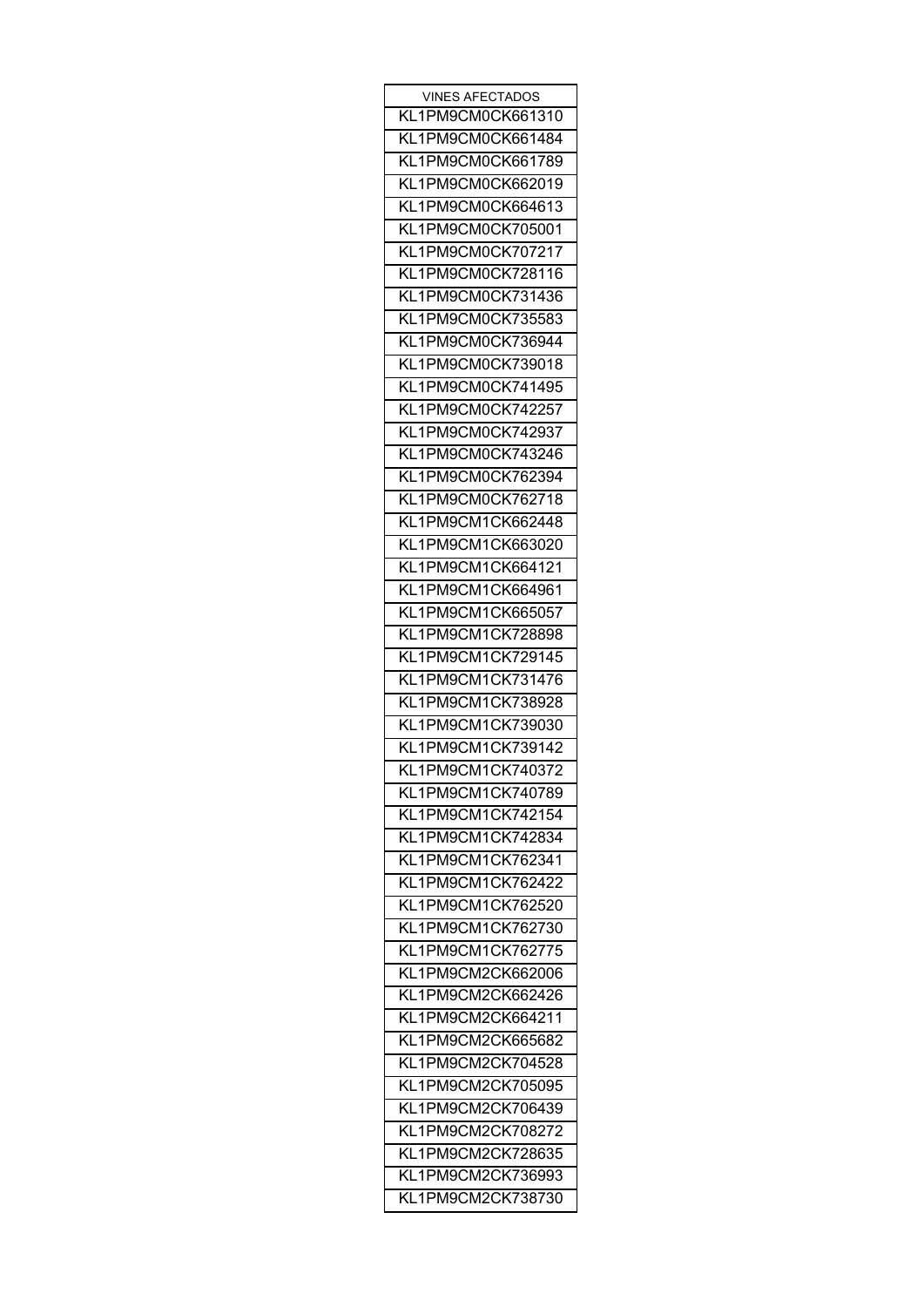| VINES AFECTADOS   |
|-------------------|
| KL1PM9CM0CK661310 |
| KL1PM9CM0CK661484 |
| KL1PM9CM0CK661789 |
| KL1PM9CM0CK662019 |
| KL1PM9CM0CK664613 |
| KL1PM9CM0CK705001 |
| KL1PM9CM0CK707217 |
| KL1PM9CM0CK728116 |
| KL1PM9CM0CK731436 |
| KL1PM9CM0CK735583 |
| KL1PM9CM0CK736944 |
| KL1PM9CM0CK739018 |
|                   |
| KL1PM9CM0CK741495 |
| KL1PM9CM0CK742257 |
| KL1PM9CM0CK742937 |
| KL1PM9CM0CK743246 |
| KL1PM9CM0CK762394 |
| KL1PM9CM0CK762718 |
| KL1PM9CM1CK662448 |
| KL1PM9CM1CK663020 |
| KL1PM9CM1CK664121 |
| KL1PM9CM1CK664961 |
| KL1PM9CM1CK665057 |
| KL1PM9CM1CK728898 |
| KL1PM9CM1CK729145 |
| KL1PM9CM1CK731476 |
| KL1PM9CM1CK738928 |
| KL1PM9CM1CK739030 |
| KL1PM9CM1CK739142 |
| KL1PM9CM1CK740372 |
| KL1PM9CM1CK740789 |
| KL1PM9CM1CK742154 |
| KL1PM9CM1CK742834 |
|                   |
| KL1PM9CM1CK762341 |
| KL1PM9CM1CK762422 |
| KL1PM9CM1CK762520 |
| KL1PM9CM1CK762730 |
| KL1PM9CM1CK762775 |
| KL1PM9CM2CK662006 |
| KL1PM9CM2CK662426 |
| KL1PM9CM2CK664211 |
| KL1PM9CM2CK665682 |
| KL1PM9CM2CK704528 |
| KL1PM9CM2CK705095 |
| KL1PM9CM2CK706439 |
| KL1PM9CM2CK708272 |
| KL1PM9CM2CK728635 |
| KL1PM9CM2CK736993 |
| KL1PM9CM2CK738730 |
|                   |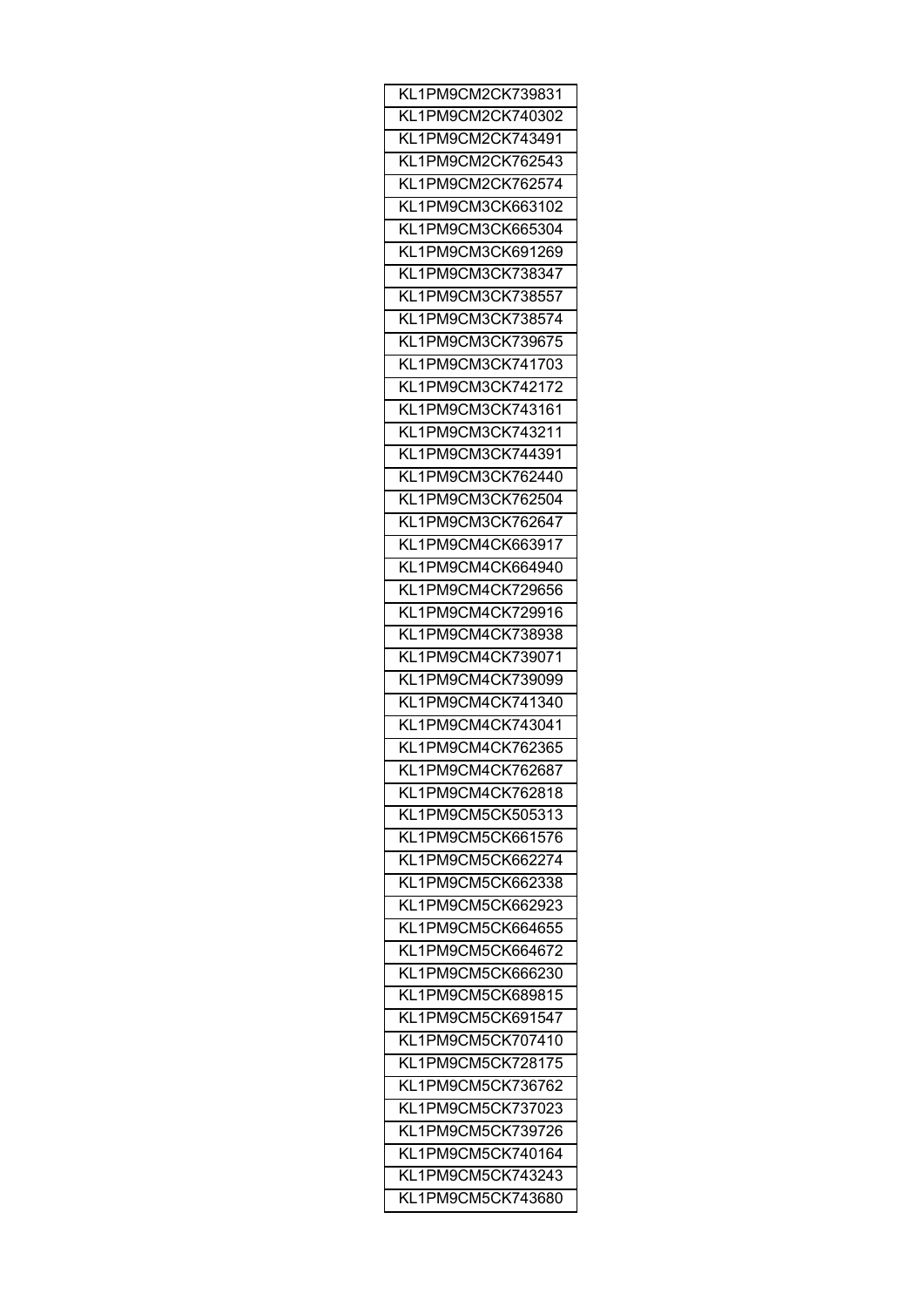| KL1PM9CM2CK739831 |
|-------------------|
| KL1PM9CM2CK740302 |
| KL1PM9CM2CK743491 |
| KL1PM9CM2CK762543 |
| KL1PM9CM2CK762574 |
| KL1PM9CM3CK663102 |
| KL1PM9CM3CK665304 |
| KL1PM9CM3CK691269 |
| KL1PM9CM3CK738347 |
| KL1PM9CM3CK738557 |
| KL1PM9CM3CK738574 |
| KL1PM9CM3CK739675 |
| KL1PM9CM3CK741703 |
| KL1PM9CM3CK742172 |
| KL1PM9CM3CK743161 |
| KL1PM9CM3CK743211 |
| KL1PM9CM3CK744391 |
|                   |
| KL1PM9CM3CK762440 |
| KL1PM9CM3CK762504 |
| KL1PM9CM3CK762647 |
| KL1PM9CM4CK663917 |
| KL1PM9CM4CK664940 |
| KL1PM9CM4CK729656 |
| KL1PM9CM4CK729916 |
| KL1PM9CM4CK738938 |
| KL1PM9CM4CK739071 |
| KL1PM9CM4CK739099 |
| KL1PM9CM4CK741340 |
| KL1PM9CM4CK743041 |
| KL1PM9CM4CK762365 |
| KL1PM9CM4CK762687 |
| KL1PM9CM4CK762818 |
| KL1PM9CM5CK505313 |
| KL1PM9CM5CK661576 |
| KL1PM9CM5CK662274 |
| KL1PM9CM5CK662338 |
| KL1PM9CM5CK662923 |
| KL1PM9CM5CK664655 |
| KL1PM9CM5CK664672 |
| KL1PM9CM5CK666230 |
| KL1PM9CM5CK689815 |
| KL1PM9CM5CK691547 |
| KL1PM9CM5CK707410 |
| KL1PM9CM5CK728175 |
|                   |
| KL1PM9CM5CK736762 |
| KL1PM9CM5CK737023 |
| KL1PM9CM5CK739726 |
| KL1PM9CM5CK740164 |
| KL1PM9CM5CK743243 |
| KL1PM9CM5CK743680 |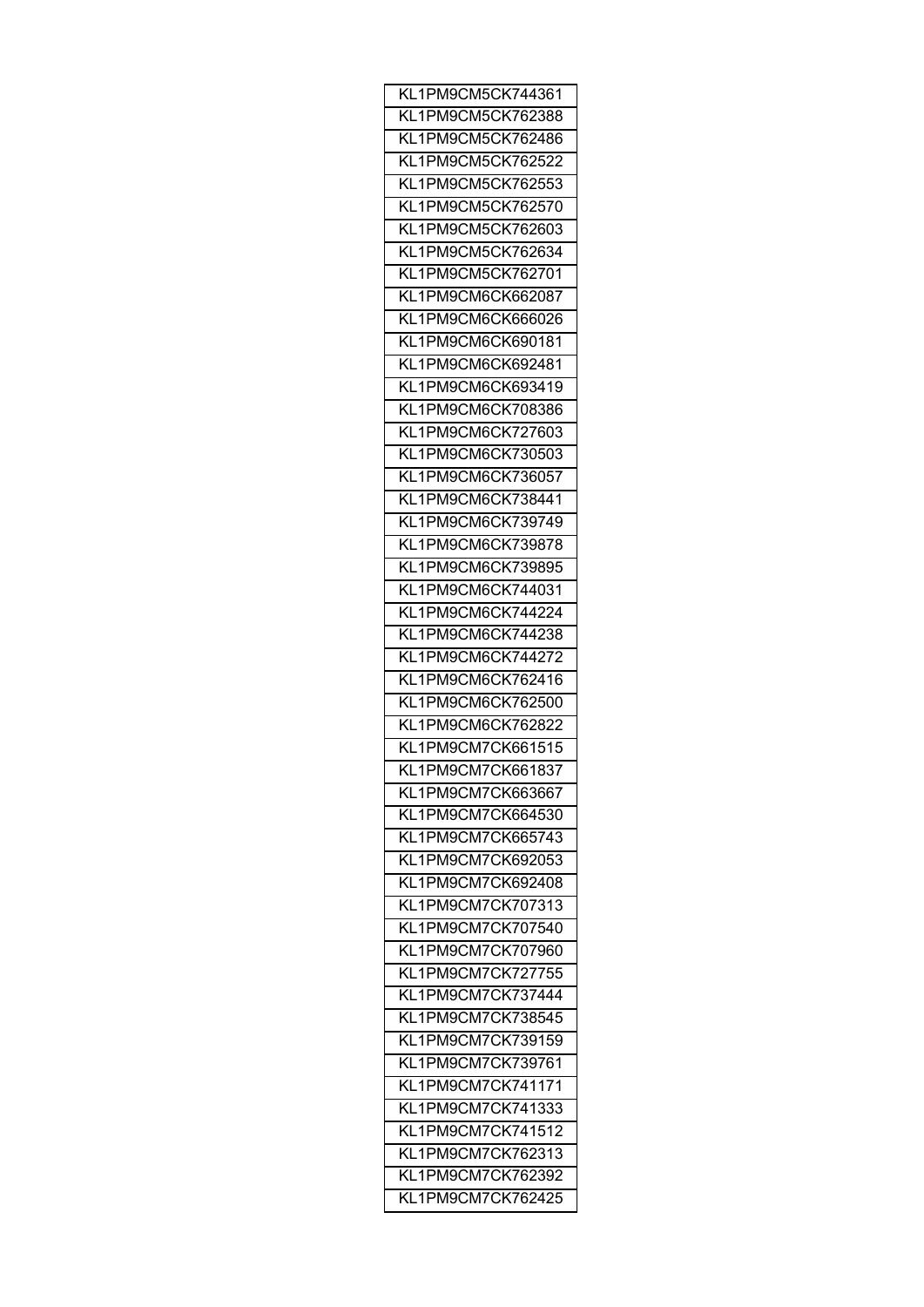| KL1PM9CM5CK744361 |
|-------------------|
| KL1PM9CM5CK762388 |
| KL1PM9CM5CK762486 |
| KL1PM9CM5CK762522 |
| KL1PM9CM5CK762553 |
| KL1PM9CM5CK762570 |
| KL1PM9CM5CK762603 |
| KL1PM9CM5CK762634 |
| KL1PM9CM5CK762701 |
| KL1PM9CM6CK662087 |
| KL1PM9CM6CK666026 |
| KL1PM9CM6CK690181 |
| KL1PM9CM6CK692481 |
| KL1PM9CM6CK693419 |
| KL1PM9CM6CK708386 |
| KL1PM9CM6CK727603 |
| KL1PM9CM6CK730503 |
| KL1PM9CM6CK736057 |
| KL1PM9CM6CK738441 |
| KL1PM9CM6CK739749 |
|                   |
| KL1PM9CM6CK739878 |
| KL1PM9CM6CK739895 |
| KL1PM9CM6CK744031 |
| KL1PM9CM6CK744224 |
| KL1PM9CM6CK744238 |
| KL1PM9CM6CK744272 |
| KL1PM9CM6CK762416 |
| KL1PM9CM6CK762500 |
| KL1PM9CM6CK762822 |
| KL1PM9CM7CK661515 |
| KL1PM9CM7CK661837 |
| KL1PM9CM7CK663667 |
| KL1PM9CM7CK664530 |
| KL1PM9CM7CK665743 |
| KL1PM9CM7CK692053 |
| KL1PM9CM7CK692408 |
| KL1PM9CM7CK707313 |
| KL1PM9CM7CK707540 |
| KL1PM9CM7CK707960 |
| KL1PM9CM7CK727755 |
| KL1PM9CM7CK737444 |
| KL1PM9CM7CK738545 |
| KL1PM9CM7CK739159 |
| KL1PM9CM7CK739761 |
| KL1PM9CM7CK741171 |
| KL1PM9CM7CK741333 |
| KL1PM9CM7CK741512 |
| KL1PM9CM7CK762313 |
| KL1PM9CM7CK762392 |
| KL1PM9CM7CK762425 |
|                   |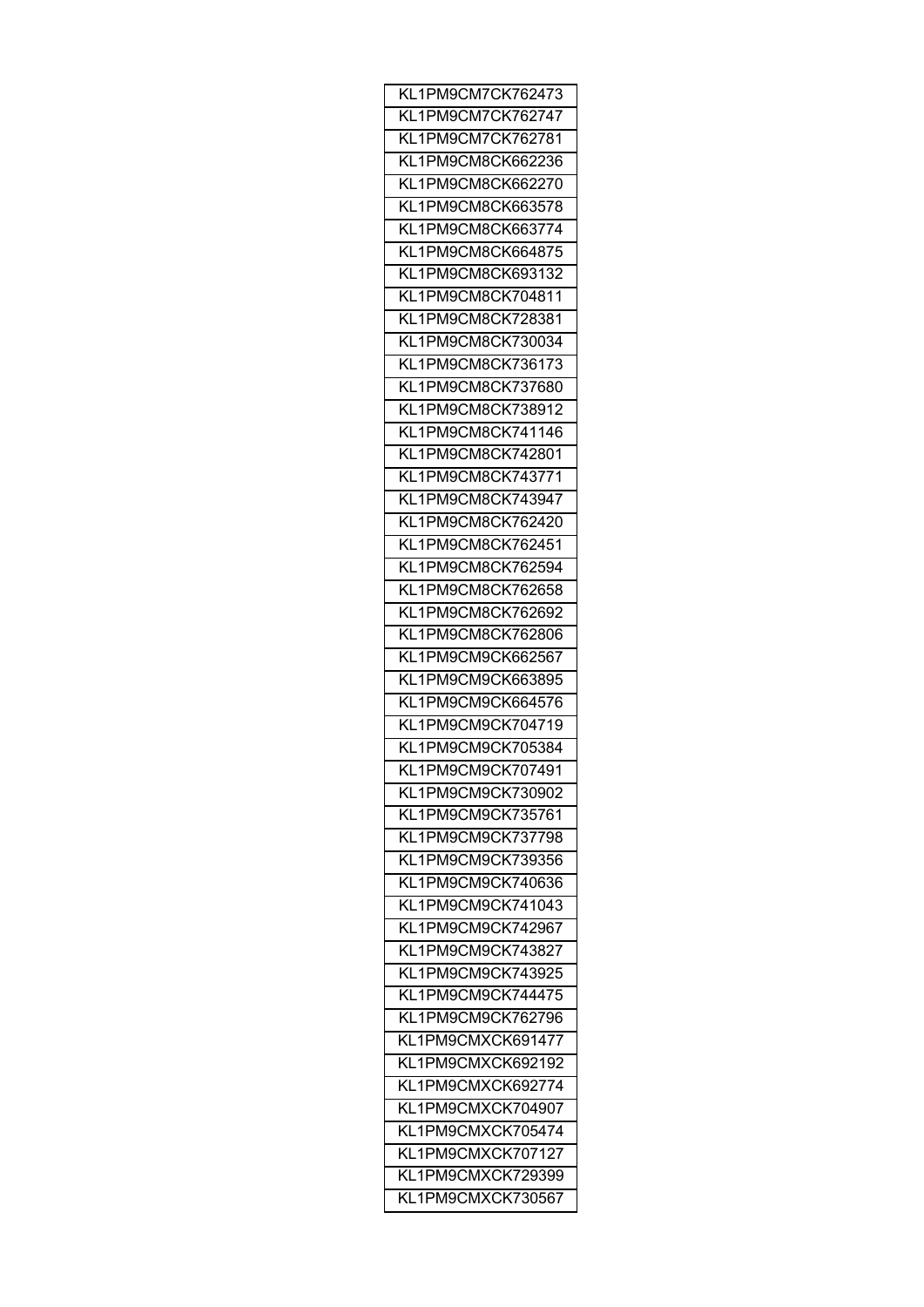| KL1PM9CM7CK762473 |
|-------------------|
| KL1PM9CM7CK762747 |
| KL1PM9CM7CK762781 |
| KL1PM9CM8CK662236 |
| KL1PM9CM8CK662270 |
| KL1PM9CM8CK663578 |
| KL1PM9CM8CK663774 |
| KL1PM9CM8CK664875 |
| KL1PM9CM8CK693132 |
| KL1PM9CM8CK704811 |
| KL1PM9CM8CK728381 |
| KL1PM9CM8CK730034 |
| KL1PM9CM8CK736173 |
| KL1PM9CM8CK737680 |
| KL1PM9CM8CK738912 |
| KL1PM9CM8CK741146 |
| KL1PM9CM8CK742801 |
|                   |
| KL1PM9CM8CK743771 |
| KL1PM9CM8CK743947 |
| KL1PM9CM8CK762420 |
| KL1PM9CM8CK762451 |
| KL1PM9CM8CK762594 |
| KL1PM9CM8CK762658 |
| KL1PM9CM8CK762692 |
| KL1PM9CM8CK762806 |
| KL1PM9CM9CK662567 |
| KL1PM9CM9CK663895 |
| KL1PM9CM9CK664576 |
| KL1PM9CM9CK704719 |
| KL1PM9CM9CK705384 |
| KL1PM9CM9CK707491 |
| KL1PM9CM9CK730902 |
| KL1PM9CM9CK735761 |
| KL1PM9CM9CK737798 |
| KL1PM9CM9CK739356 |
| KL1PM9CM9CK740636 |
| KL1PM9CM9CK741043 |
| KL1PM9CM9CK742967 |
| KL1PM9CM9CK743827 |
| KL1PM9CM9CK743925 |
| KL1PM9CM9CK744475 |
| KL1PM9CM9CK762796 |
| KL1PM9CMXCK691477 |
| KL1PM9CMXCK692192 |
| KL1PM9CMXCK692774 |
| KL1PM9CMXCK704907 |
|                   |
| KL1PM9CMXCK705474 |
| KL1PM9CMXCK707127 |
| KL1PM9CMXCK729399 |
| KL1PM9CMXCK730567 |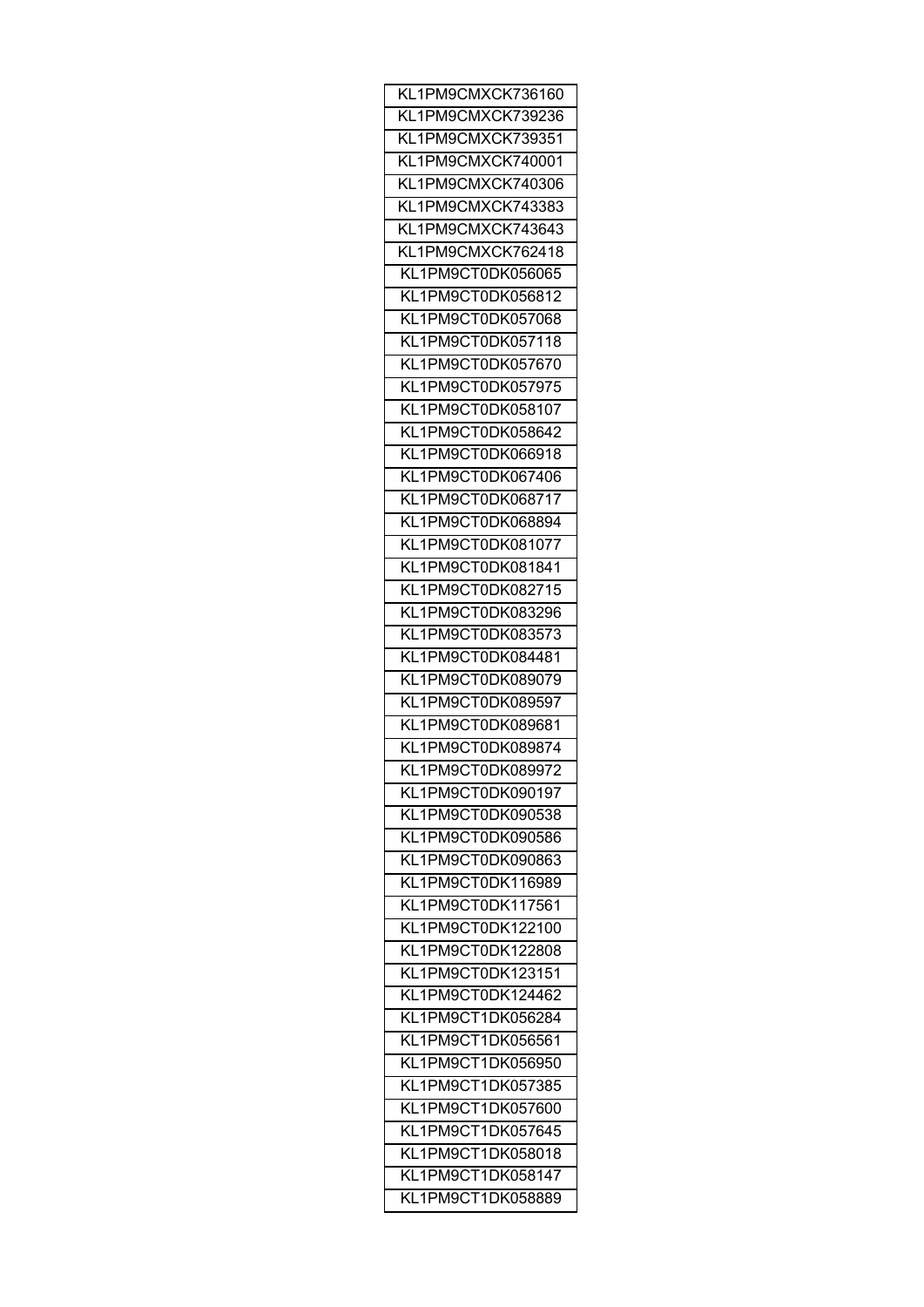| KL1PM9CMXCK736160 |
|-------------------|
| KL1PM9CMXCK739236 |
| KL1PM9CMXCK739351 |
| KL1PM9CMXCK740001 |
| KL1PM9CMXCK740306 |
| KL1PM9CMXCK743383 |
| KL1PM9CMXCK743643 |
| KL1PM9CMXCK762418 |
| KL1PM9CT0DK056065 |
| KL1PM9CT0DK056812 |
| KL1PM9CT0DK057068 |
| KL1PM9CT0DK057118 |
| KL1PM9CT0DK057670 |
| KL1PM9CT0DK057975 |
| KL1PM9CT0DK058107 |
| KL1PM9CT0DK058642 |
| KL1PM9CT0DK066918 |
| KL1PM9CT0DK067406 |
| KL1PM9CT0DK068717 |
| KL1PM9CT0DK068894 |
|                   |
| KL1PM9CT0DK081077 |
| KL1PM9CT0DK081841 |
| KL1PM9CT0DK082715 |
| KL1PM9CT0DK083296 |
| KL1PM9CT0DK083573 |
| KL1PM9CT0DK084481 |
| KL1PM9CT0DK089079 |
| KL1PM9CT0DK089597 |
| KL1PM9CT0DK089681 |
| KL1PM9CT0DK089874 |
| KL1PM9CT0DK089972 |
| KL1PM9CT0DK090197 |
| KL1PM9CT0DK090538 |
| KL1PM9CT0DK090586 |
| KL1PM9CT0DK090863 |
| KL1PM9CT0DK116989 |
| KL1PM9CT0DK117561 |
| KL1PM9CT0DK122100 |
| KL1PM9CT0DK122808 |
| KL1PM9CT0DK123151 |
| KL1PM9CT0DK124462 |
| KL1PM9CT1DK056284 |
| KL1PM9CT1DK056561 |
| KL1PM9CT1DK056950 |
| KL1PM9CT1DK057385 |
| KL1PM9CT1DK057600 |
| KL1PM9CT1DK057645 |
| KL1PM9CT1DK058018 |
| KL1PM9CT1DK058147 |
| KL1PM9CT1DK058889 |
|                   |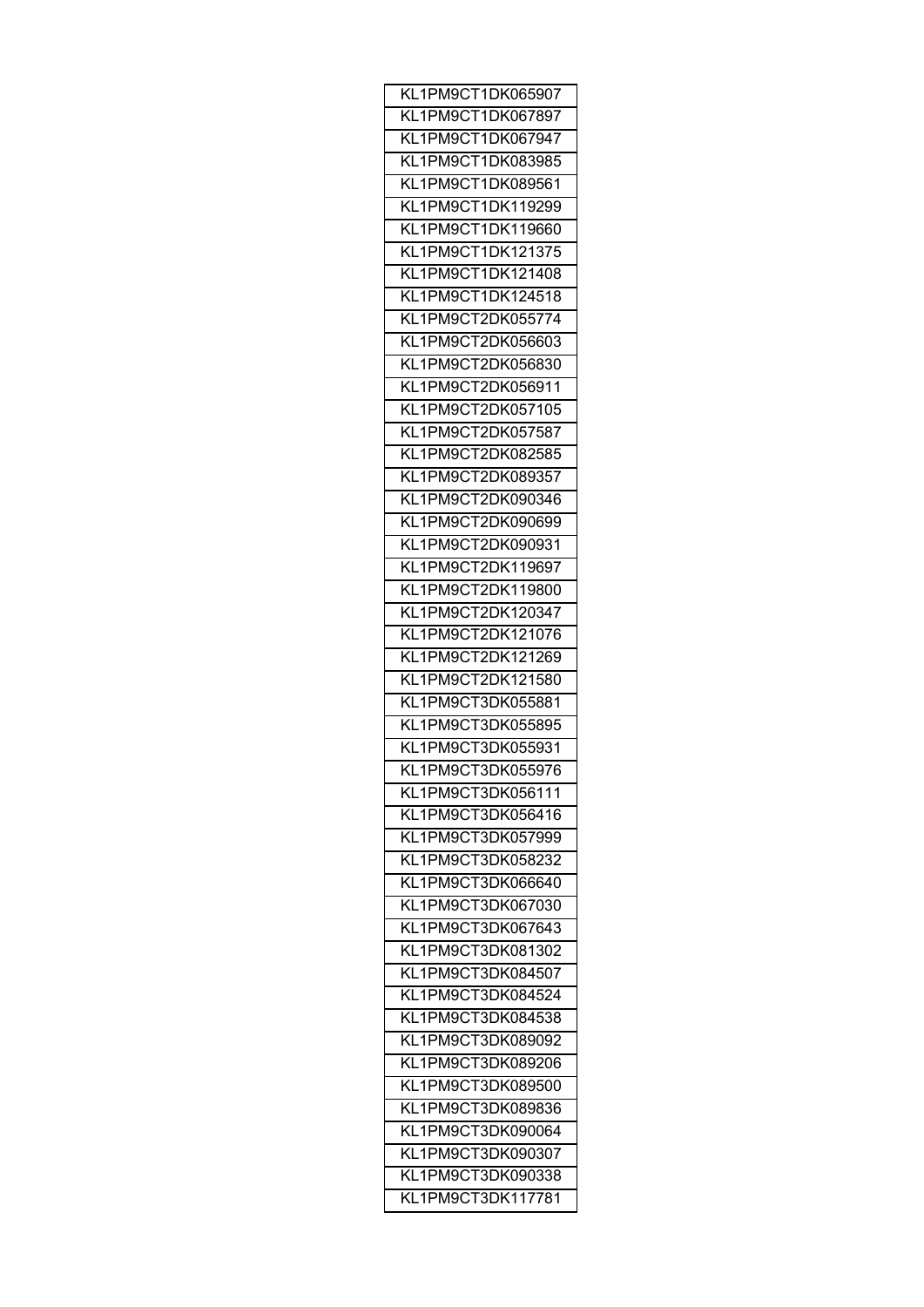| KL1PM9CT1DK065907 |
|-------------------|
| KL1PM9CT1DK067897 |
| KL1PM9CT1DK067947 |
| KL1PM9CT1DK083985 |
| KL1PM9CT1DK089561 |
| KL1PM9CT1DK119299 |
| KL1PM9CT1DK119660 |
| KL1PM9CT1DK121375 |
| KL1PM9CT1DK121408 |
| KL1PM9CT1DK124518 |
| KL1PM9CT2DK055774 |
| KL1PM9CT2DK056603 |
| KL1PM9CT2DK056830 |
| KL1PM9CT2DK056911 |
| KL1PM9CT2DK057105 |
| KL1PM9CT2DK057587 |
| KL1PM9CT2DK082585 |
|                   |
| KL1PM9CT2DK089357 |
| KL1PM9CT2DK090346 |
| KL1PM9CT2DK090699 |
| KL1PM9CT2DK090931 |
| KL1PM9CT2DK119697 |
| KL1PM9CT2DK119800 |
| KL1PM9CT2DK120347 |
| KL1PM9CT2DK121076 |
| KL1PM9CT2DK121269 |
| KL1PM9CT2DK121580 |
| KL1PM9CT3DK055881 |
| KL1PM9CT3DK055895 |
| KL1PM9CT3DK055931 |
| KL1PM9CT3DK055976 |
| KL1PM9CT3DK056111 |
| KL1PM9CT3DK056416 |
| KL1PM9CT3DK057999 |
| KL1PM9CT3DK058232 |
| KL1PM9CT3DK066640 |
| KL1PM9CT3DK067030 |
| KL1PM9CT3DK067643 |
| KL1PM9CT3DK081302 |
| KL1PM9CT3DK084507 |
| KL1PM9CT3DK084524 |
| KL1PM9CT3DK084538 |
| KL1PM9CT3DK089092 |
| KL1PM9CT3DK089206 |
|                   |
| KL1PM9CT3DK089500 |
| KL1PM9CT3DK089836 |
| KL1PM9CT3DK090064 |
| KL1PM9CT3DK090307 |
| KL1PM9CT3DK090338 |
| KL1PM9CT3DK117781 |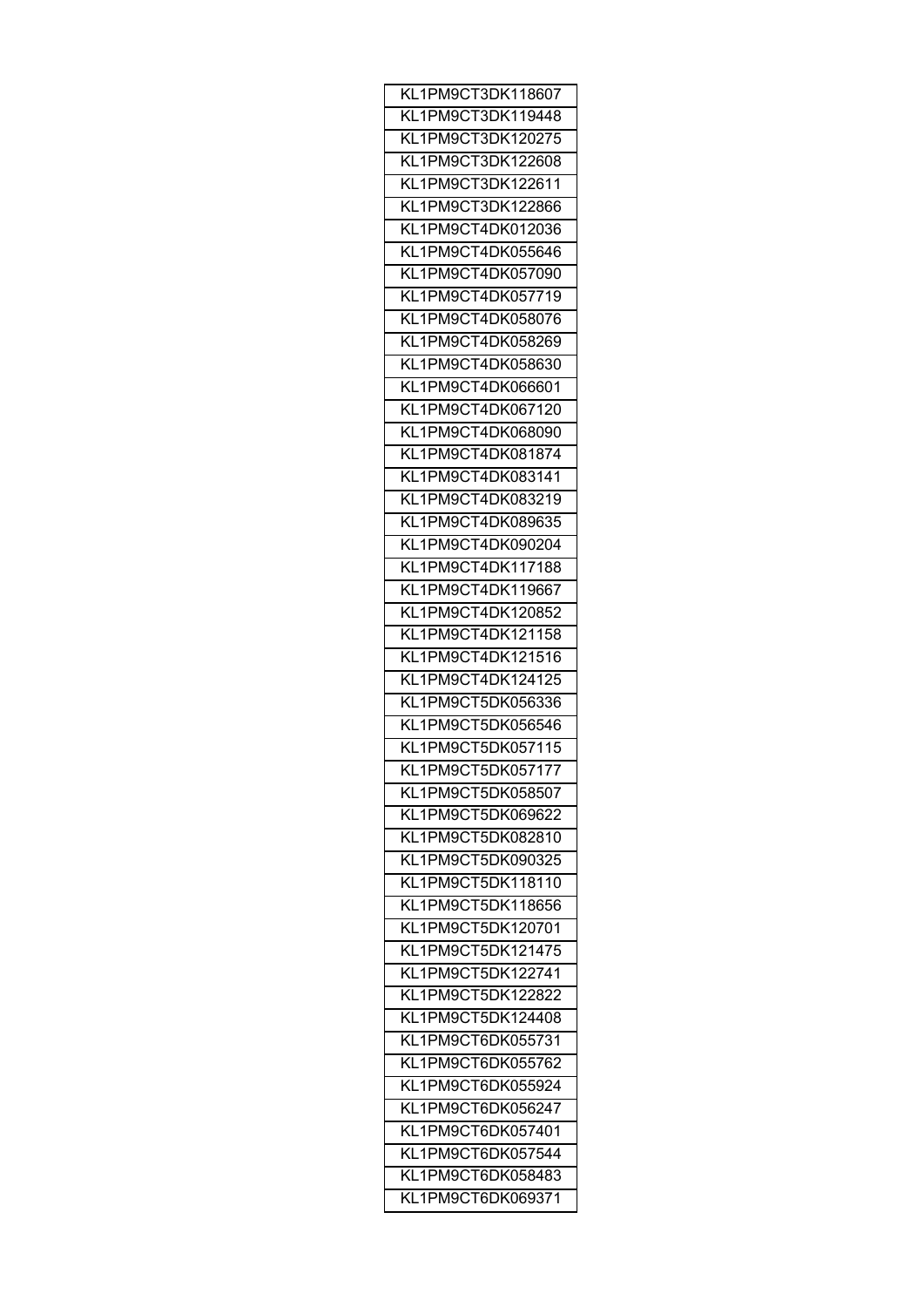| KL1PM9CT3DK118607 |
|-------------------|
| KL1PM9CT3DK119448 |
| KL1PM9CT3DK120275 |
| KL1PM9CT3DK122608 |
| KL1PM9CT3DK122611 |
| KL1PM9CT3DK122866 |
| KL1PM9CT4DK012036 |
| KL1PM9CT4DK055646 |
| KL1PM9CT4DK057090 |
| KL1PM9CT4DK057719 |
| KL1PM9CT4DK058076 |
| KL1PM9CT4DK058269 |
| KL1PM9CT4DK058630 |
| KL1PM9CT4DK066601 |
| KL1PM9CT4DK067120 |
| KL1PM9CT4DK068090 |
| KL1PM9CT4DK081874 |
|                   |
| KL1PM9CT4DK083141 |
| KL1PM9CT4DK083219 |
| KL1PM9CT4DK089635 |
| KL1PM9CT4DK090204 |
| KL1PM9CT4DK117188 |
| KL1PM9CT4DK119667 |
| KL1PM9CT4DK120852 |
| KL1PM9CT4DK121158 |
| KL1PM9CT4DK121516 |
| KL1PM9CT4DK124125 |
| KL1PM9CT5DK056336 |
| KL1PM9CT5DK056546 |
| KL1PM9CT5DK057115 |
| KL1PM9CT5DK057177 |
| KL1PM9CT5DK058507 |
| KL1PM9CT5DK069622 |
| KL1PM9CT5DK082810 |
| KL1PM9CT5DK090325 |
| KL1PM9CT5DK118110 |
| KL1PM9CT5DK118656 |
| KL1PM9CT5DK120701 |
| KL1PM9CT5DK121475 |
| KL1PM9CT5DK122741 |
| KL1PM9CT5DK122822 |
| KL1PM9CT5DK124408 |
| KL1PM9CT6DK055731 |
| KL1PM9CT6DK055762 |
| KL1PM9CT6DK055924 |
|                   |
| KL1PM9CT6DK056247 |
| KL1PM9CT6DK057401 |
| KL1PM9CT6DK057544 |
| KL1PM9CT6DK058483 |
| KL1PM9CT6DK069371 |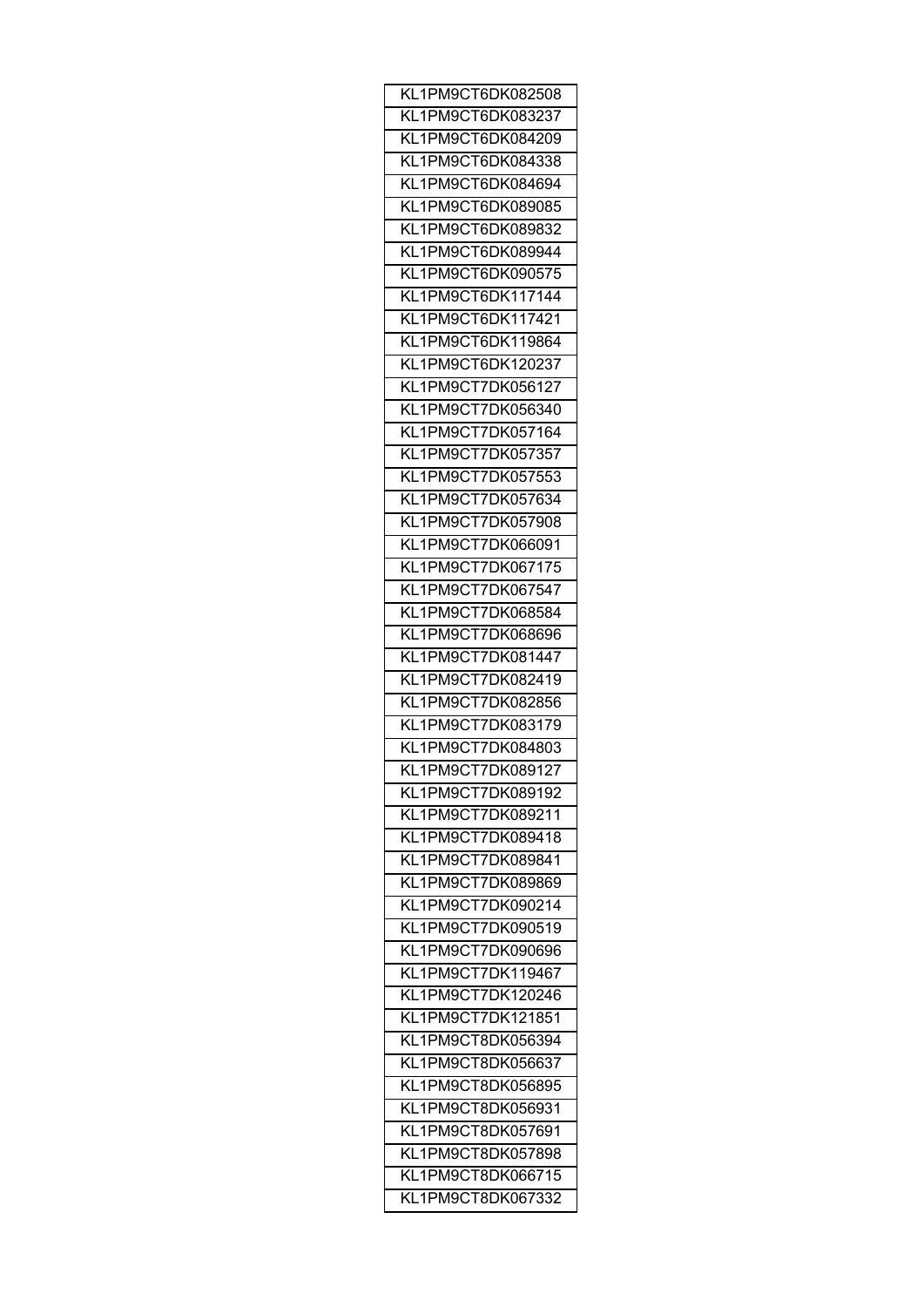| KL1PM9CT6DK082508 |
|-------------------|
| KL1PM9CT6DK083237 |
| KL1PM9CT6DK084209 |
| KL1PM9CT6DK084338 |
| KL1PM9CT6DK084694 |
| KL1PM9CT6DK089085 |
| KL1PM9CT6DK089832 |
| KL1PM9CT6DK089944 |
| KL1PM9CT6DK090575 |
| KL1PM9CT6DK117144 |
| KL1PM9CT6DK117421 |
| KL1PM9CT6DK119864 |
| KL1PM9CT6DK120237 |
| KL1PM9CT7DK056127 |
| KL1PM9CT7DK056340 |
|                   |
| KL1PM9CT7DK057164 |
| KL1PM9CT7DK057357 |
| KL1PM9CT7DK057553 |
| KL1PM9CT7DK057634 |
| KL1PM9CT7DK057908 |
| KL1PM9CT7DK066091 |
| KL1PM9CT7DK067175 |
| KL1PM9CT7DK067547 |
| KL1PM9CT7DK068584 |
| KL1PM9CT7DK068696 |
| KL1PM9CT7DK081447 |
| KL1PM9CT7DK082419 |
| KL1PM9CT7DK082856 |
| KL1PM9CT7DK083179 |
| KL1PM9CT7DK084803 |
| KL1PM9CT7DK089127 |
| KL1PM9CT7DK089192 |
| KL1PM9CT7DK089211 |
| KL1PM9CT7DK089418 |
| KL1PM9CT7DK089841 |
| KL1PM9CT7DK089869 |
| KL1PM9CT7DK090214 |
| KL1PM9CT7DK090519 |
| KL1PM9CT7DK090696 |
| KL1PM9CT7DK119467 |
| KL1PM9CT7DK120246 |
|                   |
| KL1PM9CT7DK121851 |
| KL1PM9CT8DK056394 |
| KL1PM9CT8DK056637 |
| KL1PM9CT8DK056895 |
| KL1PM9CT8DK056931 |
| KL1PM9CT8DK057691 |
| KL1PM9CT8DK057898 |
| KL1PM9CT8DK066715 |
| KL1PM9CT8DK067332 |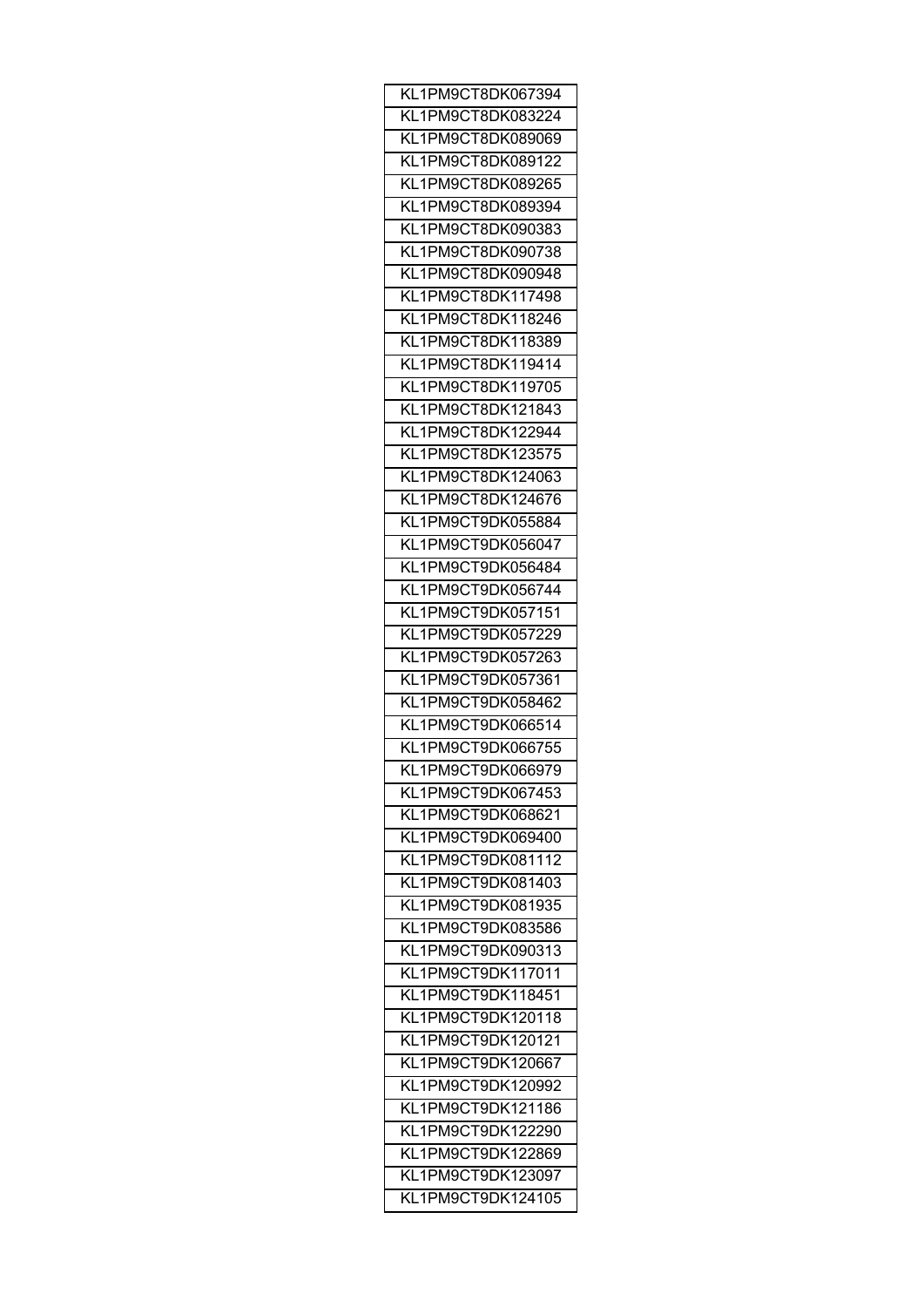| KL1PM9CT8DK067394 |
|-------------------|
| KL1PM9CT8DK083224 |
| KL1PM9CT8DK089069 |
| KL1PM9CT8DK089122 |
| KL1PM9CT8DK089265 |
| KL1PM9CT8DK089394 |
| KL1PM9CT8DK090383 |
| KL1PM9CT8DK090738 |
| KL1PM9CT8DK090948 |
| KL1PM9CT8DK117498 |
| KL1PM9CT8DK118246 |
| KL1PM9CT8DK118389 |
| KL1PM9CT8DK119414 |
| KL1PM9CT8DK119705 |
| KL1PM9CT8DK121843 |
|                   |
| KL1PM9CT8DK122944 |
| KL1PM9CT8DK123575 |
| KL1PM9CT8DK124063 |
| KL1PM9CT8DK124676 |
| KL1PM9CT9DK055884 |
| KL1PM9CT9DK056047 |
| KL1PM9CT9DK056484 |
| KL1PM9CT9DK056744 |
| KL1PM9CT9DK057151 |
| KL1PM9CT9DK057229 |
| KL1PM9CT9DK057263 |
| KL1PM9CT9DK057361 |
| KL1PM9CT9DK058462 |
| KL1PM9CT9DK066514 |
| KL1PM9CT9DK066755 |
| KL1PM9CT9DK066979 |
| KL1PM9CT9DK067453 |
| KL1PM9CT9DK068621 |
| KL1PM9CT9DK069400 |
| KL1PM9CT9DK081112 |
| KL1PM9CT9DK081403 |
| KL1PM9CT9DK081935 |
| KL1PM9CT9DK083586 |
| KL1PM9CT9DK090313 |
| KL1PM9CT9DK117011 |
| KL1PM9CT9DK118451 |
|                   |
| KL1PM9CT9DK120118 |
| KL1PM9CT9DK120121 |
| KL1PM9CT9DK120667 |
| KL1PM9CT9DK120992 |
| KL1PM9CT9DK121186 |
| KL1PM9CT9DK122290 |
| KL1PM9CT9DK122869 |
| KL1PM9CT9DK123097 |
| KL1PM9CT9DK124105 |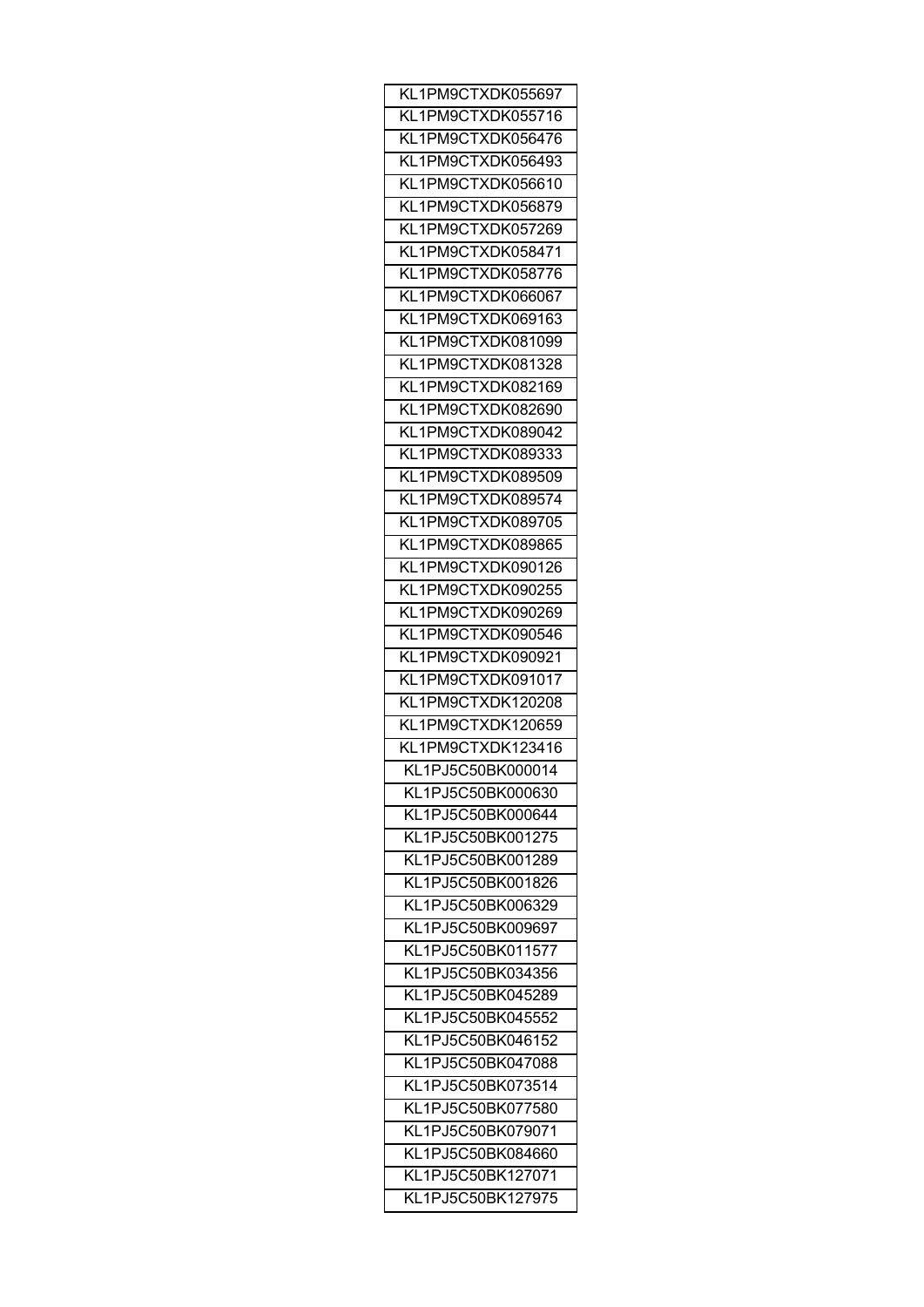| KL1PM9CTXDK055697                      |
|----------------------------------------|
| KL1PM9CTXDK055716                      |
| KL1PM9CTXDK056476                      |
| KL1PM9CTXDK056493                      |
| KL1PM9CTXDK056610                      |
| KL1PM9CTXDK056879                      |
| KL1PM9CTXDK057269                      |
| KL1PM9CTXDK058471                      |
| KL1PM9CTXDK058776                      |
| KL1PM9CTXDK066067                      |
| KL1PM9CTXDK069163                      |
| KL1PM9CTXDK081099                      |
| KL1PM9CTXDK081328                      |
| KL1PM9CTXDK082169                      |
| KL1PM9CTXDK082690                      |
| KL1PM9CTXDK089042                      |
| KL1PM9CTXDK089333                      |
|                                        |
| KL1PM9CTXDK089509                      |
| KL1PM9CTXDK089574                      |
| KL1PM9CTXDK089705                      |
| KL1PM9CTXDK089865                      |
| KL1PM9CTXDK090126                      |
| KL1PM9CTXDK090255                      |
| KL1PM9CTXDK090269                      |
| KL1PM9CTXDK090546                      |
| KL1PM9CTXDK090921                      |
| KL1PM9CTXDK091017                      |
| KL1PM9CTXDK120208                      |
| KL1PM9CTXDK120659                      |
| KL1PM9CTXDK123416                      |
| KL1PJ5C50BK000014                      |
| KL1PJ5C50BK000630                      |
| KL1PJ5C50BK000644                      |
| KL1PJ5C50BK001275                      |
| KL1PJ5C50BK001289                      |
| KL1PJ5C50BK001826                      |
| KL1PJ5C50BK006329                      |
| KL1PJ5C50BK009697                      |
| KL1PJ5C50BK011577                      |
| KL1PJ5C50BK034356                      |
| KL1PJ5C50BK045289                      |
| KL1PJ5C50BK045552                      |
| KL1PJ5C50BK046152                      |
| KL1PJ5C50BK047088                      |
| KL1PJ5C50BK073514                      |
| KL1PJ5C50BK077580                      |
| KL1PJ5C50BK079071                      |
| KL1PJ5C50BK084660                      |
|                                        |
|                                        |
| KL1PJ5C50BK127071<br>KL1PJ5C50BK127975 |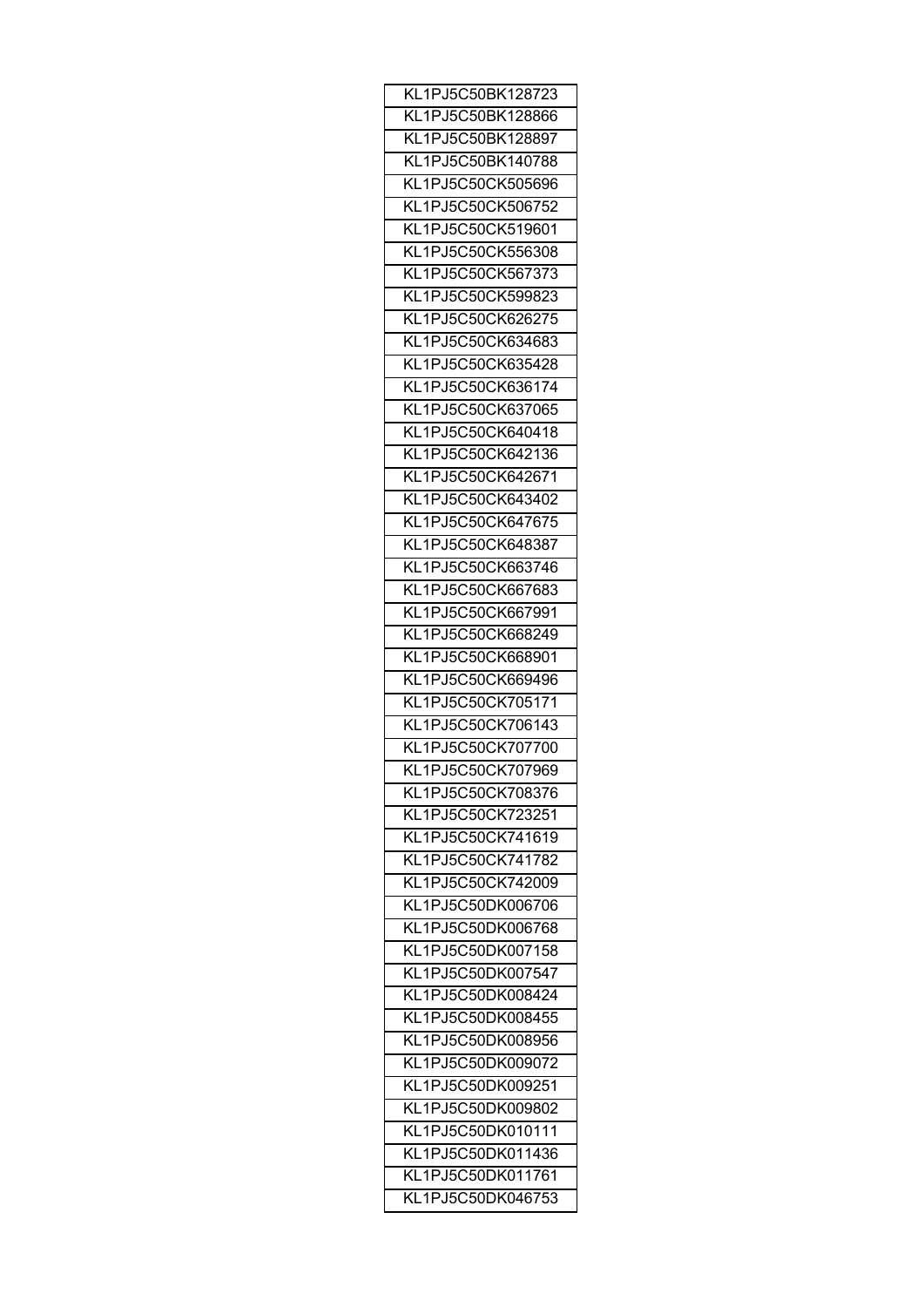| KL1PJ5C50BK128723 |
|-------------------|
| KL1PJ5C50BK128866 |
| KL1PJ5C50BK128897 |
| KL1PJ5C50BK140788 |
| KL1PJ5C50CK505696 |
| KL1PJ5C50CK506752 |
| KL1PJ5C50CK519601 |
| KL1PJ5C50CK556308 |
| KL1PJ5C50CK567373 |
| KL1PJ5C50CK599823 |
| KL1PJ5C50CK626275 |
| KL1PJ5C50CK634683 |
| KL1PJ5C50CK635428 |
| KL1PJ5C50CK636174 |
|                   |
| KL1PJ5C50CK637065 |
| KL1PJ5C50CK640418 |
| KL1PJ5C50CK642136 |
| KL1PJ5C50CK642671 |
| KL1PJ5C50CK643402 |
| KL1PJ5C50CK647675 |
| KL1PJ5C50CK648387 |
| KL1PJ5C50CK663746 |
| KL1PJ5C50CK667683 |
| KL1PJ5C50CK667991 |
| KL1PJ5C50CK668249 |
| KL1PJ5C50CK668901 |
| KL1PJ5C50CK669496 |
| KL1PJ5C50CK705171 |
| KL1PJ5C50CK706143 |
| KL1PJ5C50CK707700 |
| KL1PJ5C50CK707969 |
| KL1PJ5C50CK708376 |
| KL1PJ5C50CK723251 |
| KL1PJ5C50CK741619 |
| KL1PJ5C50CK741782 |
| KL1PJ5C50CK742009 |
| KL1PJ5C50DK006706 |
| KL1PJ5C50DK006768 |
| KL1PJ5C50DK007158 |
| KL1PJ5C50DK007547 |
| KL1PJ5C50DK008424 |
|                   |
| KL1PJ5C50DK008455 |
| KL1PJ5C50DK008956 |
| KL1PJ5C50DK009072 |
| KL1PJ5C50DK009251 |
| KL1PJ5C50DK009802 |
| KL1PJ5C50DK010111 |
| KL1PJ5C50DK011436 |
| KL1PJ5C50DK011761 |
| KL1PJ5C50DK046753 |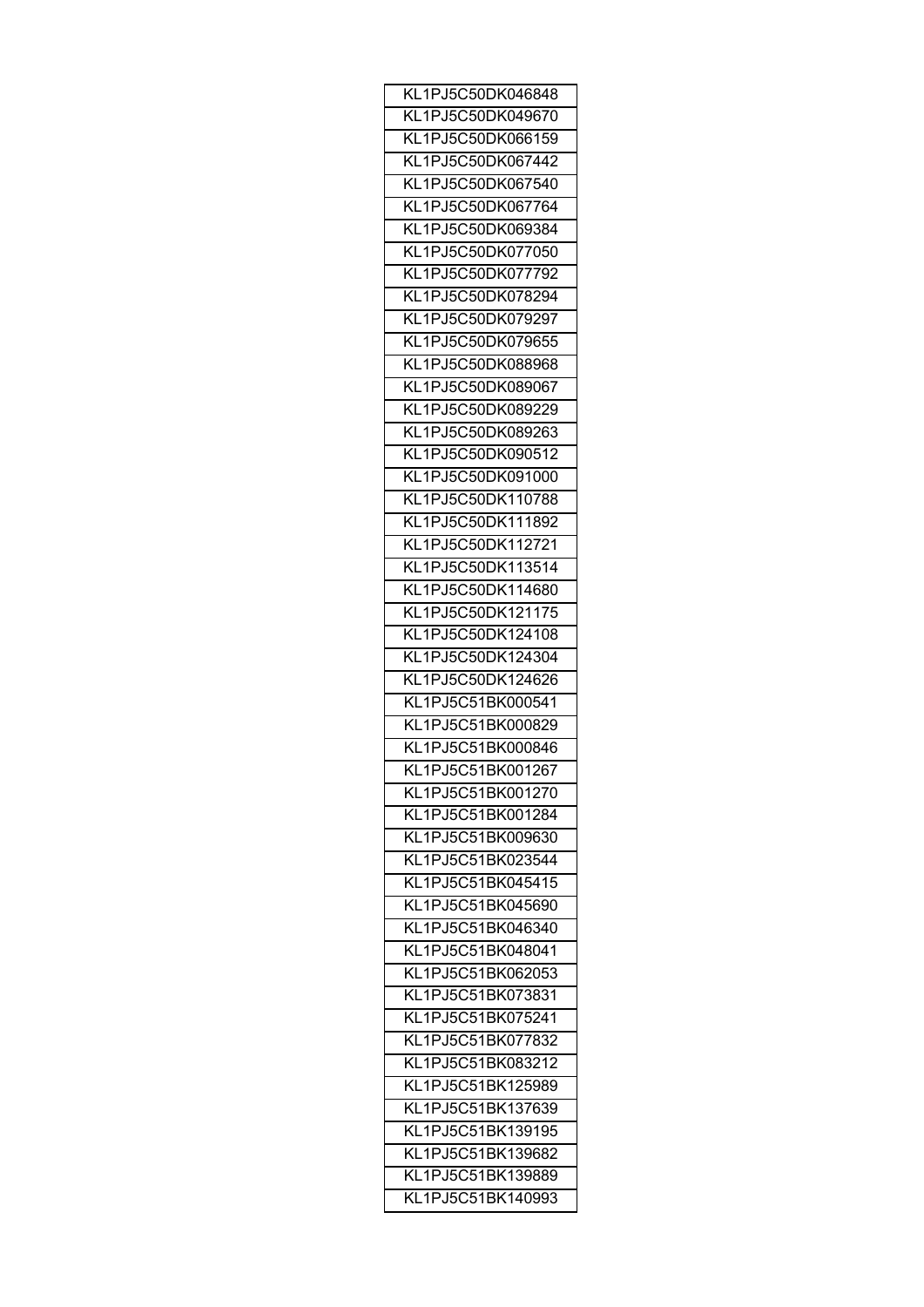| KL1PJ5C50DK046848 |
|-------------------|
| KL1PJ5C50DK049670 |
| KL1PJ5C50DK066159 |
| KL1PJ5C50DK067442 |
| KL1PJ5C50DK067540 |
| KL1PJ5C50DK067764 |
| KL1PJ5C50DK069384 |
| KL1PJ5C50DK077050 |
| KL1PJ5C50DK077792 |
| KL1PJ5C50DK078294 |
| KL1PJ5C50DK079297 |
| KL1PJ5C50DK079655 |
| KL1PJ5C50DK088968 |
| KL1PJ5C50DK089067 |
|                   |
| KL1PJ5C50DK089229 |
| KL1PJ5C50DK089263 |
| KL1PJ5C50DK090512 |
| KL1PJ5C50DK091000 |
| KL1PJ5C50DK110788 |
| KL1PJ5C50DK111892 |
| KL1PJ5C50DK112721 |
| KL1PJ5C50DK113514 |
| KL1PJ5C50DK114680 |
| KL1PJ5C50DK121175 |
| KL1PJ5C50DK124108 |
| KL1PJ5C50DK124304 |
| KL1PJ5C50DK124626 |
| KL1PJ5C51BK000541 |
| KL1PJ5C51BK000829 |
| KL1PJ5C51BK000846 |
| KL1PJ5C51BK001267 |
| KL1PJ5C51BK001270 |
| KL1PJ5C51BK001284 |
| KL1PJ5C51BK009630 |
| KL1PJ5C51BK023544 |
| KL1PJ5C51BK045415 |
|                   |
| KL1PJ5C51BK045690 |
| KL1PJ5C51BK046340 |
| KL1PJ5C51BK048041 |
| KL1PJ5C51BK062053 |
| KL1PJ5C51BK073831 |
| KL1PJ5C51BK075241 |
| KL1PJ5C51BK077832 |
| KL1PJ5C51BK083212 |
| KL1PJ5C51BK125989 |
| KL1PJ5C51BK137639 |
| KL1PJ5C51BK139195 |
| KL1PJ5C51BK139682 |
| KL1PJ5C51BK139889 |
| KL1PJ5C51BK140993 |
|                   |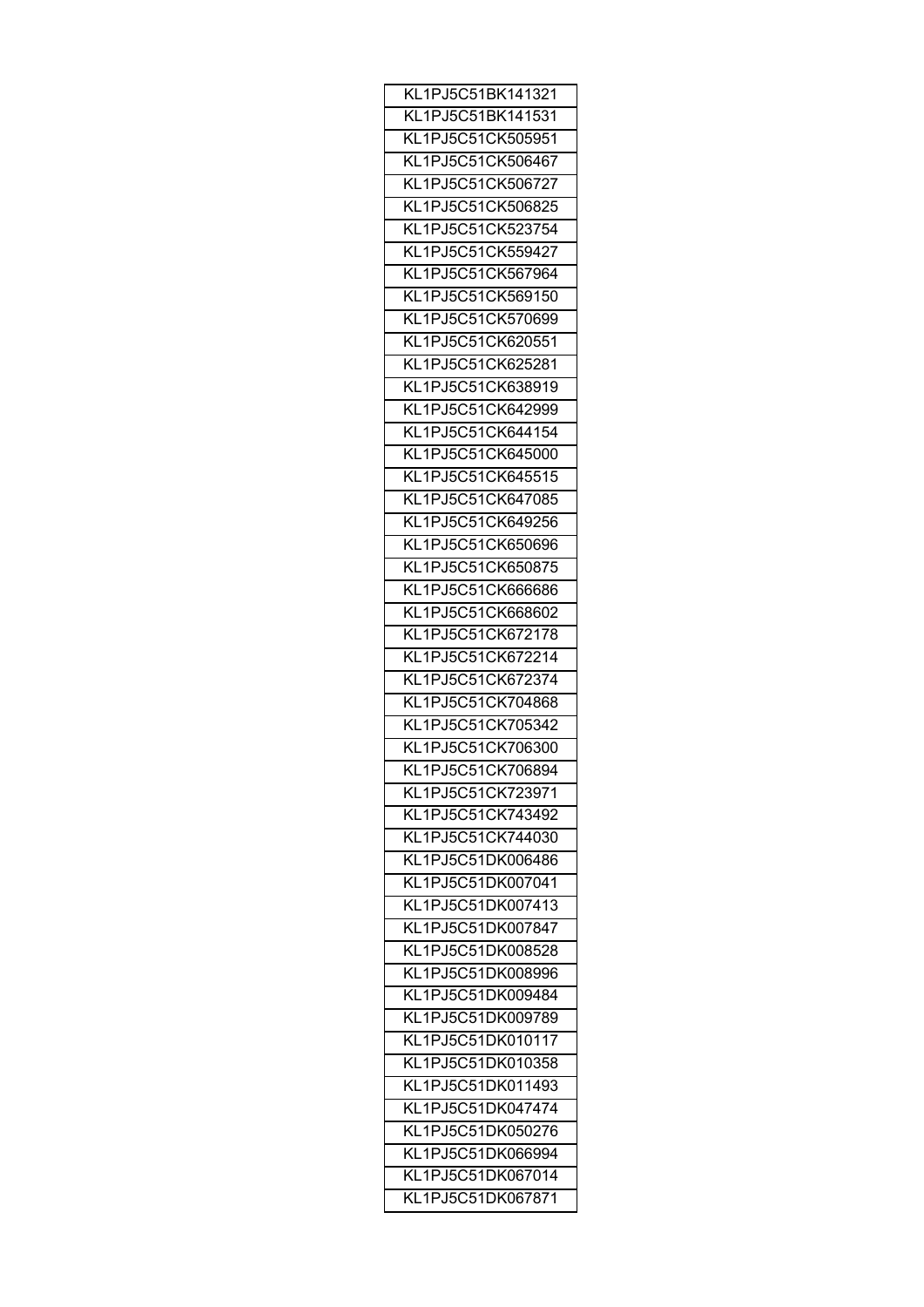| KL1PJ5C51BK141321                      |
|----------------------------------------|
| KL1PJ5C51BK141531                      |
| KL1PJ5C51CK505951                      |
| KL1PJ5C51CK506467                      |
| KL1PJ5C51CK506727                      |
| KL1PJ5C51CK506825                      |
| KL1PJ5C51CK523754                      |
| KL1PJ5C51CK559427                      |
| KL1PJ5C51CK567964                      |
| KL1PJ5C51CK569150                      |
| KL1PJ5C51CK570699                      |
| KL1PJ5C51CK620551                      |
| KL1PJ5C51CK625281                      |
| KL1PJ5C51CK638919                      |
| KL1PJ5C51CK642999                      |
| KL1PJ5C51CK644154                      |
| KL1PJ5C51CK645000                      |
| KL1PJ5C51CK645515                      |
| KL1PJ5C51CK647085                      |
| KL1PJ5C51CK649256                      |
|                                        |
| KL1PJ5C51CK650696<br>KL1PJ5C51CK650875 |
|                                        |
| KL1PJ5C51CK666686<br>KL1PJ5C51CK668602 |
|                                        |
| KL1PJ5C51CK672178                      |
| KL1PJ5C51CK672214                      |
| KL1PJ5C51CK672374                      |
| KL1PJ5C51CK704868                      |
| KL1PJ5C51CK705342                      |
| KL1PJ5C51CK706300                      |
| KL1PJ5C51CK706894                      |
| KL1PJ5C51CK723971                      |
| KL1PJ5C51CK743492                      |
| KL1PJ5C51CK744030                      |
| KL1PJ5C51DK006486                      |
| KL1PJ5C51DK007041                      |
| KL1PJ5C51DK007413                      |
| KL1PJ5C51DK007847                      |
| KL1PJ5C51DK008528                      |
| KL1PJ5C51DK008996                      |
| KL1PJ5C51DK009484                      |
| KL1PJ5C51DK009789                      |
| KL1PJ5C51DK010117                      |
| KL1PJ5C51DK010358                      |
| KL1PJ5C51DK011493                      |
| KL1PJ5C51DK047474                      |
| KL1PJ5C51DK050276                      |
| KL1PJ5C51DK066994                      |
| KL1PJ5C51DK067014                      |
| KL1PJ5C51DK067871                      |
|                                        |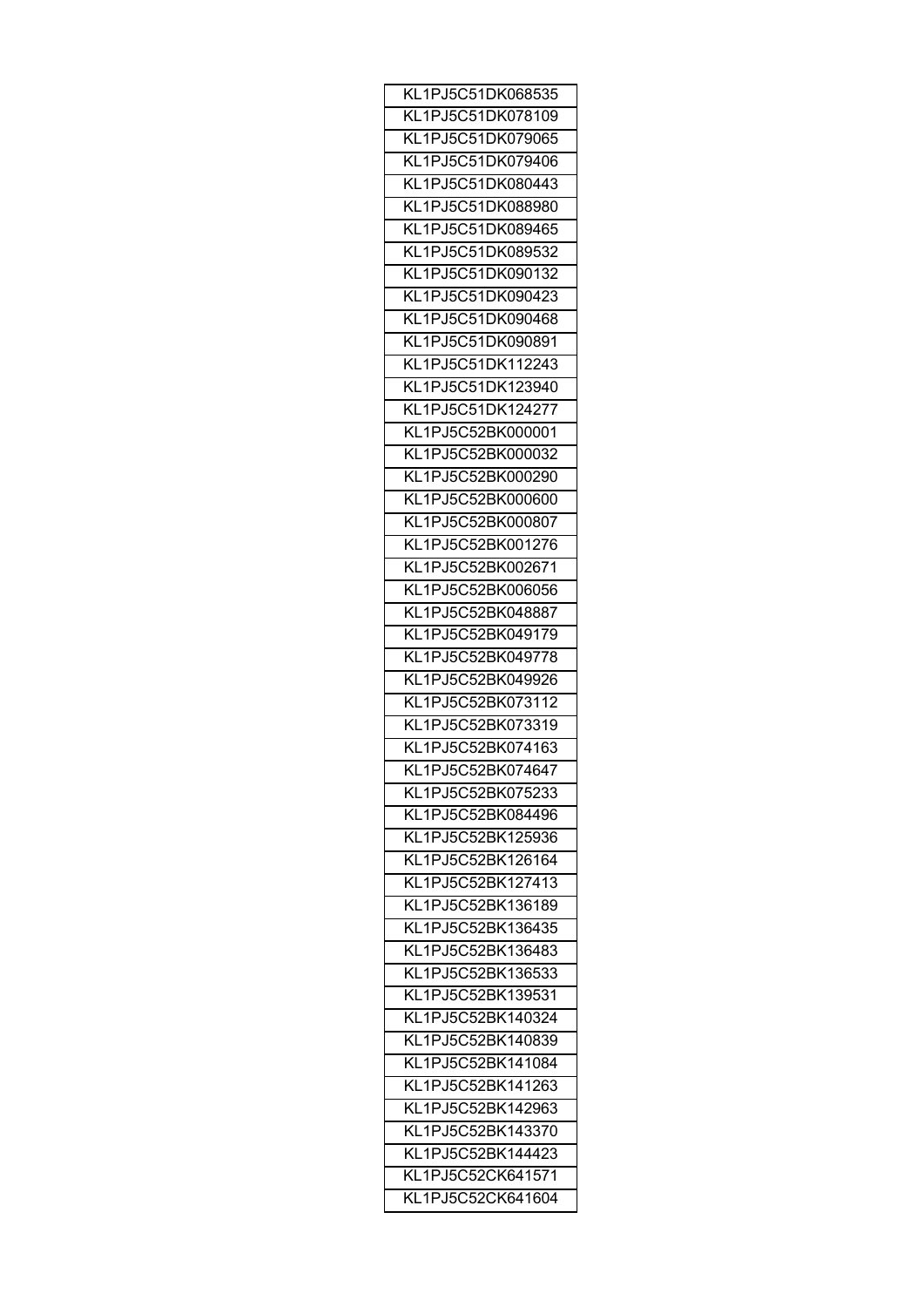| KL1PJ5C51DK068535 |
|-------------------|
| KL1PJ5C51DK078109 |
| KL1PJ5C51DK079065 |
| KL1PJ5C51DK079406 |
| KL1PJ5C51DK080443 |
| KL1PJ5C51DK088980 |
| KL1PJ5C51DK089465 |
| KL1PJ5C51DK089532 |
| KL1PJ5C51DK090132 |
| KL1PJ5C51DK090423 |
| KL1PJ5C51DK090468 |
|                   |
| KL1PJ5C51DK090891 |
| KL1PJ5C51DK112243 |
| KL1PJ5C51DK123940 |
| KL1PJ5C51DK124277 |
| KL1PJ5C52BK000001 |
| KL1PJ5C52BK000032 |
| KL1PJ5C52BK000290 |
| KL1PJ5C52BK000600 |
| KL1PJ5C52BK000807 |
| KL1PJ5C52BK001276 |
| KL1PJ5C52BK002671 |
| KL1PJ5C52BK006056 |
| KL1PJ5C52BK048887 |
| KL1PJ5C52BK049179 |
| KL1PJ5C52BK049778 |
| KL1PJ5C52BK049926 |
| KL1PJ5C52BK073112 |
| KL1PJ5C52BK073319 |
| KL1PJ5C52BK074163 |
| KL1PJ5C52BK074647 |
|                   |
| KL1PJ5C52BK075233 |
| KL1PJ5C52BK084496 |
| KL1PJ5C52BK125936 |
| KL1PJ5C52BK126164 |
| KL1PJ5C52BK127413 |
| KL1PJ5C52BK136189 |
| KL1PJ5C52BK136435 |
| KL1PJ5C52BK136483 |
| KL1PJ5C52BK136533 |
| KL1PJ5C52BK139531 |
| KL1PJ5C52BK140324 |
| KL1PJ5C52BK140839 |
| KL1PJ5C52BK141084 |
| KL1PJ5C52BK141263 |
| KL1PJ5C52BK142963 |
| KL1PJ5C52BK143370 |
| KL1PJ5C52BK144423 |
| KL1PJ5C52CK641571 |
|                   |
| KL1PJ5C52CK641604 |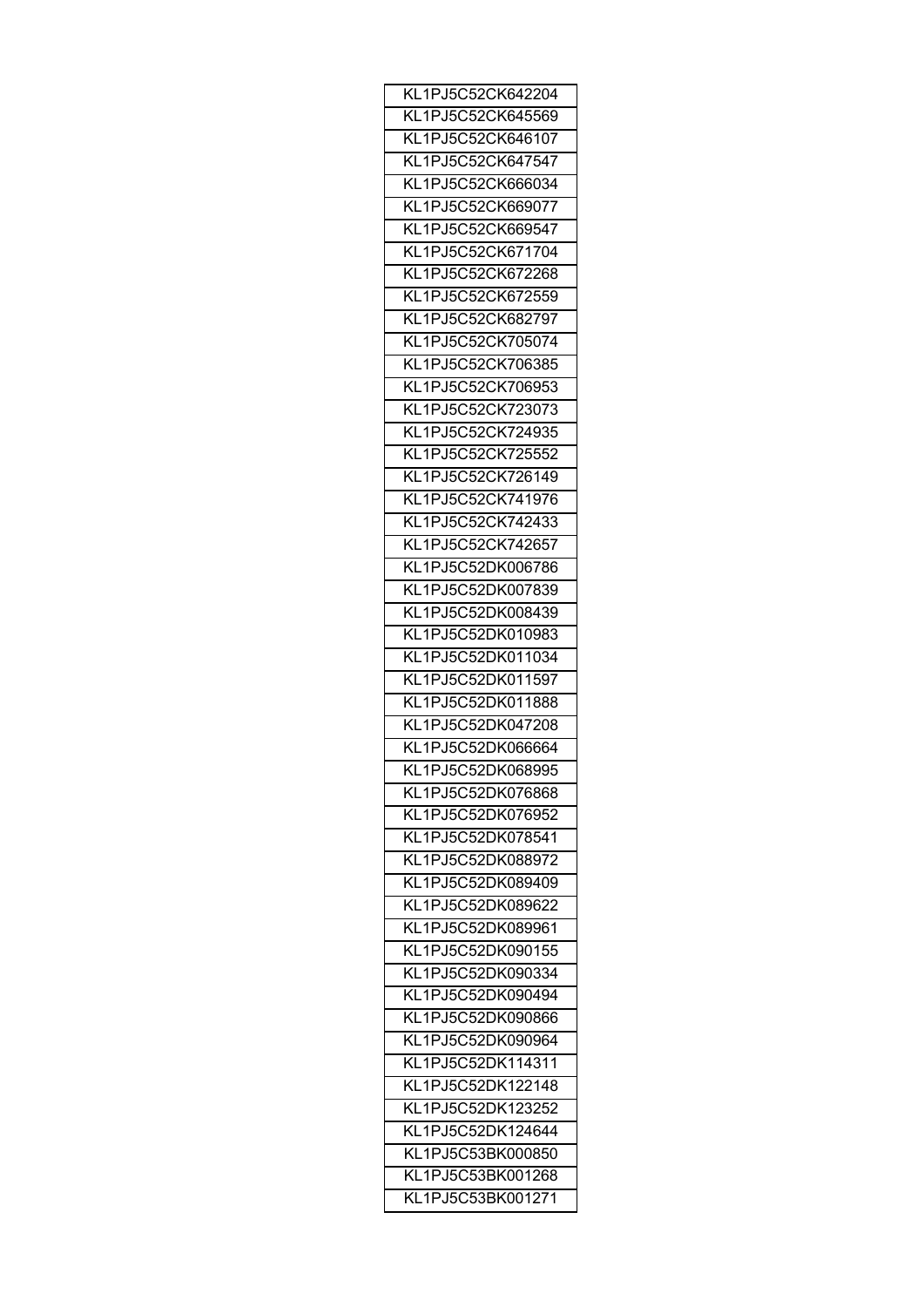| KL1PJ5C52CK642204 |
|-------------------|
| KL1PJ5C52CK645569 |
| KL1PJ5C52CK646107 |
| KL1PJ5C52CK647547 |
| KL1PJ5C52CK666034 |
| KL1PJ5C52CK669077 |
| KL1PJ5C52CK669547 |
| KL1PJ5C52CK671704 |
| KL1PJ5C52CK672268 |
| KL1PJ5C52CK672559 |
| KL1PJ5C52CK682797 |
| KL1PJ5C52CK705074 |
| KL1PJ5C52CK706385 |
| KL1PJ5C52CK706953 |
| KL1PJ5C52CK723073 |
| KL1PJ5C52CK724935 |
| KL1PJ5C52CK725552 |
| KL1PJ5C52CK726149 |
| KL1PJ5C52CK741976 |
|                   |
| KL1PJ5C52CK742433 |
| KL1PJ5C52CK742657 |
| KL1PJ5C52DK006786 |
| KL1PJ5C52DK007839 |
| KL1PJ5C52DK008439 |
| KL1PJ5C52DK010983 |
| KL1PJ5C52DK011034 |
| KL1PJ5C52DK011597 |
| KL1PJ5C52DK011888 |
| KL1PJ5C52DK047208 |
| KL1PJ5C52DK066664 |
| KL1PJ5C52DK068995 |
| KL1PJ5C52DK076868 |
| KL1PJ5C52DK076952 |
| KL1PJ5C52DK078541 |
| KL1PJ5C52DK088972 |
| KL1PJ5C52DK089409 |
| KL1PJ5C52DK089622 |
| KL1PJ5C52DK089961 |
| KL1PJ5C52DK090155 |
| KL1PJ5C52DK090334 |
| KL1PJ5C52DK090494 |
| KL1PJ5C52DK090866 |
| KL1PJ5C52DK090964 |
| KL1PJ5C52DK114311 |
| KL1PJ5C52DK122148 |
| KL1PJ5C52DK123252 |
| KL1PJ5C52DK124644 |
| KL1PJ5C53BK000850 |
| KL1PJ5C53BK001268 |
| KL1PJ5C53BK001271 |
|                   |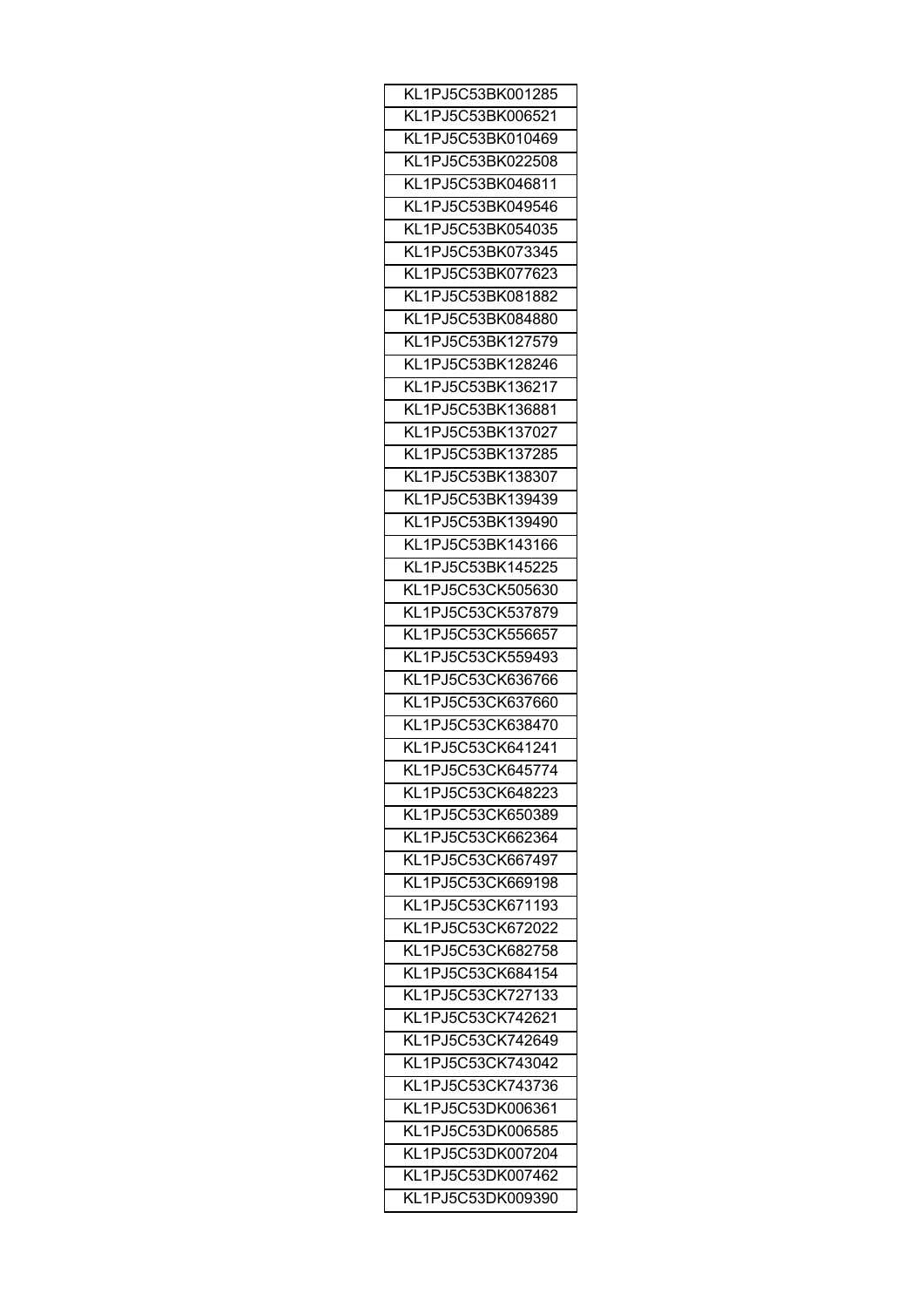| KL1PJ5C53BK001285                      |
|----------------------------------------|
| KL1PJ5C53BK006521                      |
| KL1PJ5C53BK010469                      |
| KL1PJ5C53BK022508                      |
| KL1PJ5C53BK046811                      |
| KL1PJ5C53BK049546                      |
| KL1PJ5C53BK054035                      |
| KL1PJ5C53BK073345                      |
| KL1PJ5C53BK077623                      |
| KL1PJ5C53BK081882                      |
| KL1PJ5C53BK084880                      |
| KL1PJ5C53BK127579                      |
| KL1PJ5C53BK128246                      |
| KL1PJ5C53BK136217                      |
| KL1PJ5C53BK136881                      |
| KL1PJ5C53BK137027                      |
| KL1PJ5C53BK137285                      |
| KL1PJ5C53BK138307                      |
| KL1PJ5C53BK139439                      |
| KL1PJ5C53BK139490                      |
| KL1PJ5C53BK143166                      |
| KL1PJ5C53BK145225                      |
| KL1PJ5C53CK505630                      |
| KL1PJ5C53CK537879                      |
| KL1PJ5C53CK556657                      |
| KL1PJ5C53CK559493                      |
| KL1PJ5C53CK636766                      |
| KL1PJ5C53CK637660                      |
| KL1PJ5C53CK638470                      |
| KL1PJ5C53CK641241                      |
| KL1PJ5C53CK645774                      |
| KL1PJ5C53CK648223                      |
| KL1PJ5C53CK650389                      |
| KL1PJ5C53CK662364                      |
|                                        |
| KL1PJ5C53CK667497<br>KL1PJ5C53CK669198 |
|                                        |
| KL1PJ5C53CK671193                      |
| KL1PJ5C53CK672022                      |
| KL1PJ5C53CK682758                      |
| KL1PJ5C53CK684154                      |
| KL1PJ5C53CK727133                      |
| KL1PJ5C53CK742621                      |
| KL1PJ5C53CK742649                      |
| KL1PJ5C53CK743042                      |
| KL1PJ5C53CK743736                      |
| KL1PJ5C53DK006361                      |
| KL1PJ5C53DK006585                      |
| KL1PJ5C53DK007204                      |
| KL1PJ5C53DK007462                      |
| KL1PJ5C53DK009390                      |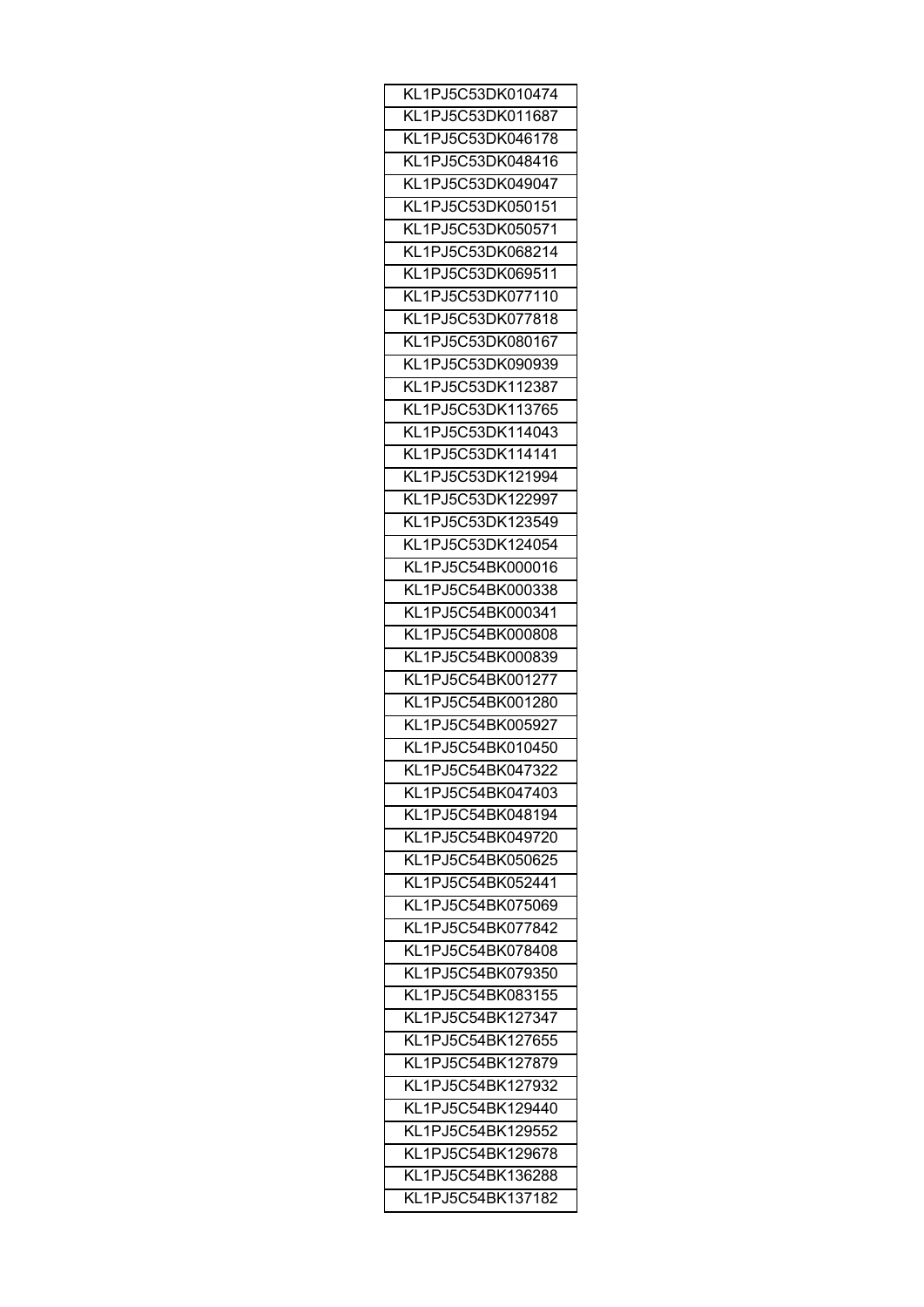| KL1PJ5C53DK010474 |
|-------------------|
| KL1PJ5C53DK011687 |
| KL1PJ5C53DK046178 |
| KL1PJ5C53DK048416 |
| KL1PJ5C53DK049047 |
| KL1PJ5C53DK050151 |
| KL1PJ5C53DK050571 |
| KL1PJ5C53DK068214 |
| KL1PJ5C53DK069511 |
| KL1PJ5C53DK077110 |
| KL1PJ5C53DK077818 |
| KL1PJ5C53DK080167 |
| KL1PJ5C53DK090939 |
| KL1PJ5C53DK112387 |
| KL1PJ5C53DK113765 |
|                   |
| KL1PJ5C53DK114043 |
| KL1PJ5C53DK114141 |
| KL1PJ5C53DK121994 |
| KL1PJ5C53DK122997 |
| KL1PJ5C53DK123549 |
| KL1PJ5C53DK124054 |
| KL1PJ5C54BK000016 |
| KL1PJ5C54BK000338 |
| KL1PJ5C54BK000341 |
| KL1PJ5C54BK000808 |
| KL1PJ5C54BK000839 |
| KL1PJ5C54BK001277 |
| KL1PJ5C54BK001280 |
| KL1PJ5C54BK005927 |
| KL1PJ5C54BK010450 |
| KL1PJ5C54BK047322 |
| KL1PJ5C54BK047403 |
| KL1PJ5C54BK048194 |
| KL1PJ5C54BK049720 |
| KL1PJ5C54BK050625 |
| KL1PJ5C54BK052441 |
| KL1PJ5C54BK075069 |
| KL1PJ5C54BK077842 |
| KL1PJ5C54BK078408 |
| KL1PJ5C54BK079350 |
| KL1PJ5C54BK083155 |
| KL1PJ5C54BK127347 |
| KL1PJ5C54BK127655 |
| KL1PJ5C54BK127879 |
| KL1PJ5C54BK127932 |
| KL1PJ5C54BK129440 |
|                   |
| KL1PJ5C54BK129552 |
| KL1PJ5C54BK129678 |
| KL1PJ5C54BK136288 |
| KL1PJ5C54BK137182 |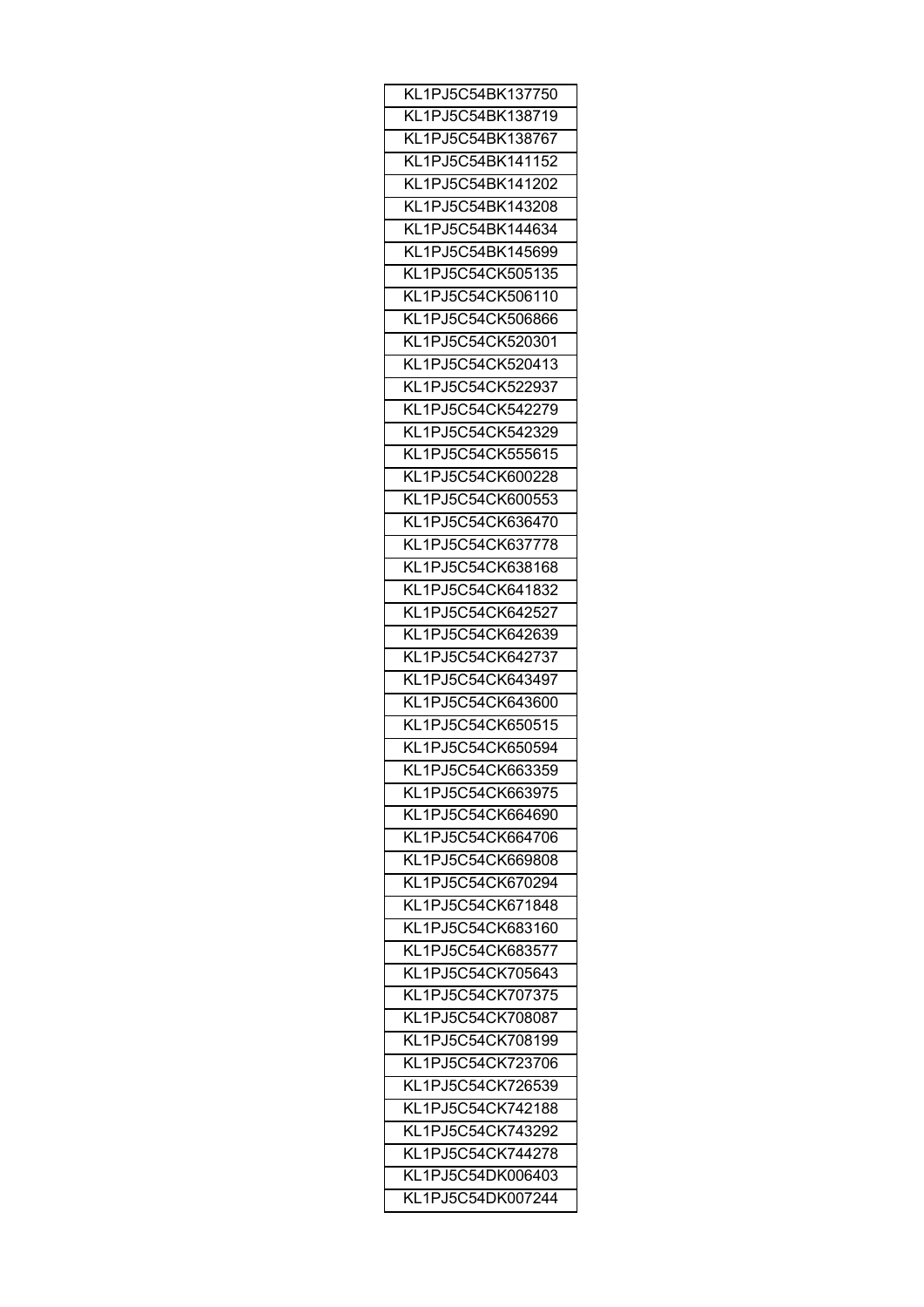| KL1PJ5C54BK137750 |
|-------------------|
| KL1PJ5C54BK138719 |
| KL1PJ5C54BK138767 |
| KL1PJ5C54BK141152 |
| KL1PJ5C54BK141202 |
| KL1PJ5C54BK143208 |
| KL1PJ5C54BK144634 |
| KL1PJ5C54BK145699 |
| KL1PJ5C54CK505135 |
| KL1PJ5C54CK506110 |
| KL1PJ5C54CK506866 |
| KL1PJ5C54CK520301 |
| KL1PJ5C54CK520413 |
| KL1PJ5C54CK522937 |
| KL1PJ5C54CK542279 |
|                   |
| KL1PJ5C54CK542329 |
| KL1PJ5C54CK555615 |
| KL1PJ5C54CK600228 |
| KL1PJ5C54CK600553 |
| KL1PJ5C54CK636470 |
| KL1PJ5C54CK637778 |
| KL1PJ5C54CK638168 |
| KL1PJ5C54CK641832 |
| KL1PJ5C54CK642527 |
| KL1PJ5C54CK642639 |
| KL1PJ5C54CK642737 |
| KL1PJ5C54CK643497 |
| KL1PJ5C54CK643600 |
| KL1PJ5C54CK650515 |
| KL1PJ5C54CK650594 |
| KL1PJ5C54CK663359 |
| KL1PJ5C54CK663975 |
| KL1PJ5C54CK664690 |
| KL1PJ5C54CK664706 |
| KL1PJ5C54CK669808 |
| KL1PJ5C54CK670294 |
| KL1PJ5C54CK671848 |
| KL1PJ5C54CK683160 |
| KL1PJ5C54CK683577 |
| KL1PJ5C54CK705643 |
| KL1PJ5C54CK707375 |
| KL1PJ5C54CK708087 |
| KL1PJ5C54CK708199 |
| KL1PJ5C54CK723706 |
| KL1PJ5C54CK726539 |
| KL1PJ5C54CK742188 |
|                   |
| KL1PJ5C54CK743292 |
| KL1PJ5C54CK744278 |
| KL1PJ5C54DK006403 |
| KL1PJ5C54DK007244 |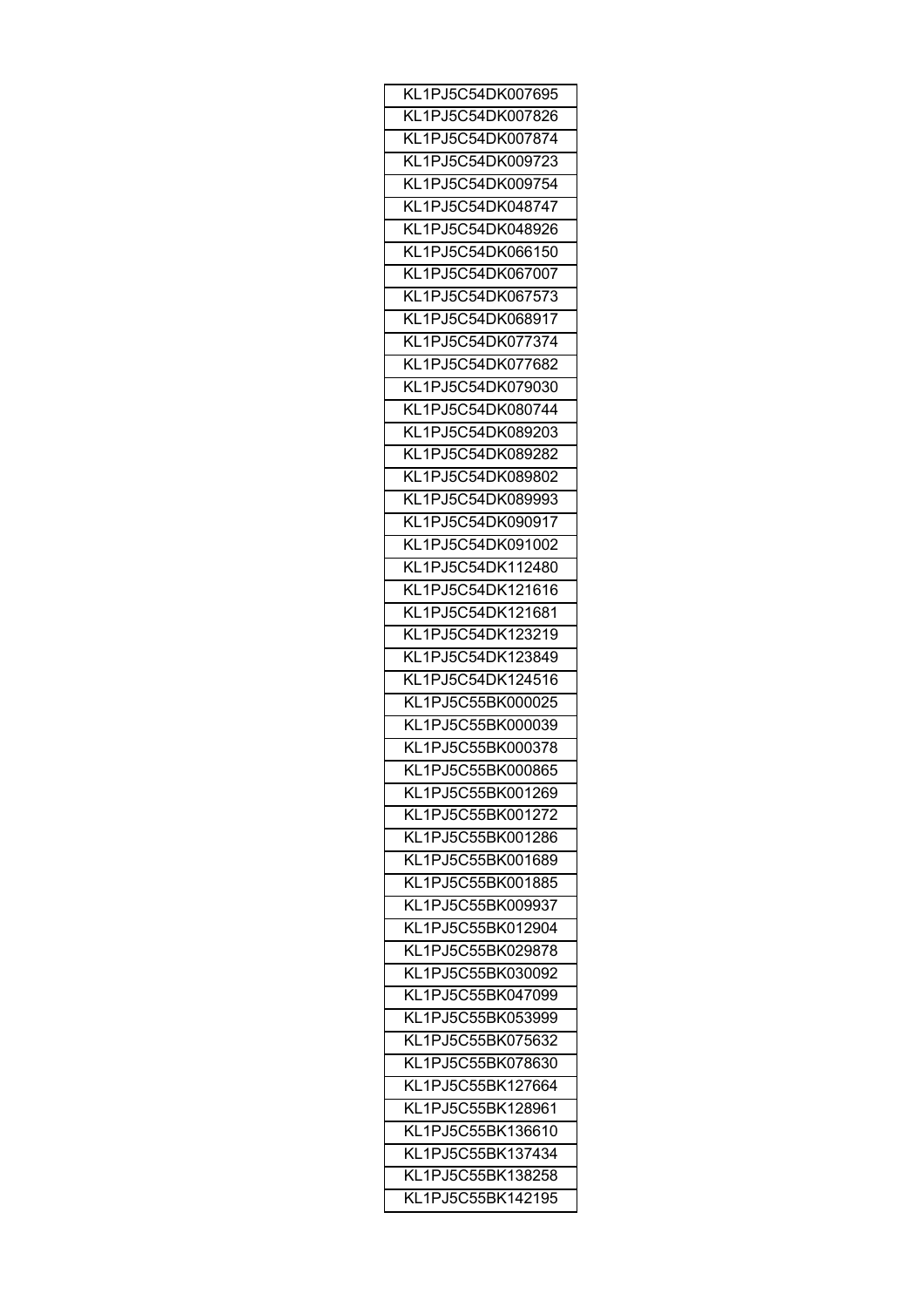| KL1PJ5C54DK007695                      |
|----------------------------------------|
| KL1PJ5C54DK007826                      |
| KL1PJ5C54DK007874                      |
| KL1PJ5C54DK009723                      |
| KL1PJ5C54DK009754                      |
| KL1PJ5C54DK048747                      |
| KL1PJ5C54DK048926                      |
| KL1PJ5C54DK066150                      |
| KL1PJ5C54DK067007                      |
| KL1PJ5C54DK067573                      |
| KL1PJ5C54DK068917                      |
| KL1PJ5C54DK077374                      |
| KL1PJ5C54DK077682                      |
| KL1PJ5C54DK079030                      |
| KL1PJ5C54DK080744                      |
|                                        |
| KL1PJ5C54DK089203<br>KL1PJ5C54DK089282 |
|                                        |
| KL1PJ5C54DK089802                      |
| KL1PJ5C54DK089993                      |
| KL1PJ5C54DK090917                      |
| KL1PJ5C54DK091002                      |
| KL1PJ5C54DK112480                      |
| KL1PJ5C54DK121616                      |
| KL1PJ5C54DK121681                      |
| KL1PJ5C54DK123219                      |
| KL1PJ5C54DK123849                      |
| KL1PJ5C54DK124516                      |
| KL1PJ5C55BK000025                      |
| KL1PJ5C55BK000039                      |
| KL1PJ5C55BK000378                      |
| KL1PJ5C55BK000865                      |
| KL1PJ5C55BK001269                      |
| KL1PJ5C55BK001272                      |
| KL1PJ5C55BK001286                      |
| KL1PJ5C55BK001689                      |
| KL1PJ5C55BK001885                      |
| KL1PJ5C55BK009937                      |
| KL1PJ5C55BK012904                      |
| KL1PJ5C55BK029878                      |
| KL1PJ5C55BK030092                      |
| KL1PJ5C55BK047099                      |
| KL1PJ5C55BK053999                      |
| KL1PJ5C55BK075632                      |
| KL1PJ5C55BK078630                      |
| KL1PJ5C55BK127664                      |
| KL1PJ5C55BK128961                      |
| KL1PJ5C55BK136610                      |
| KL1PJ5C55BK137434                      |
|                                        |
| KL1PJ5C55BK138258                      |
| KL1PJ5C55BK142195                      |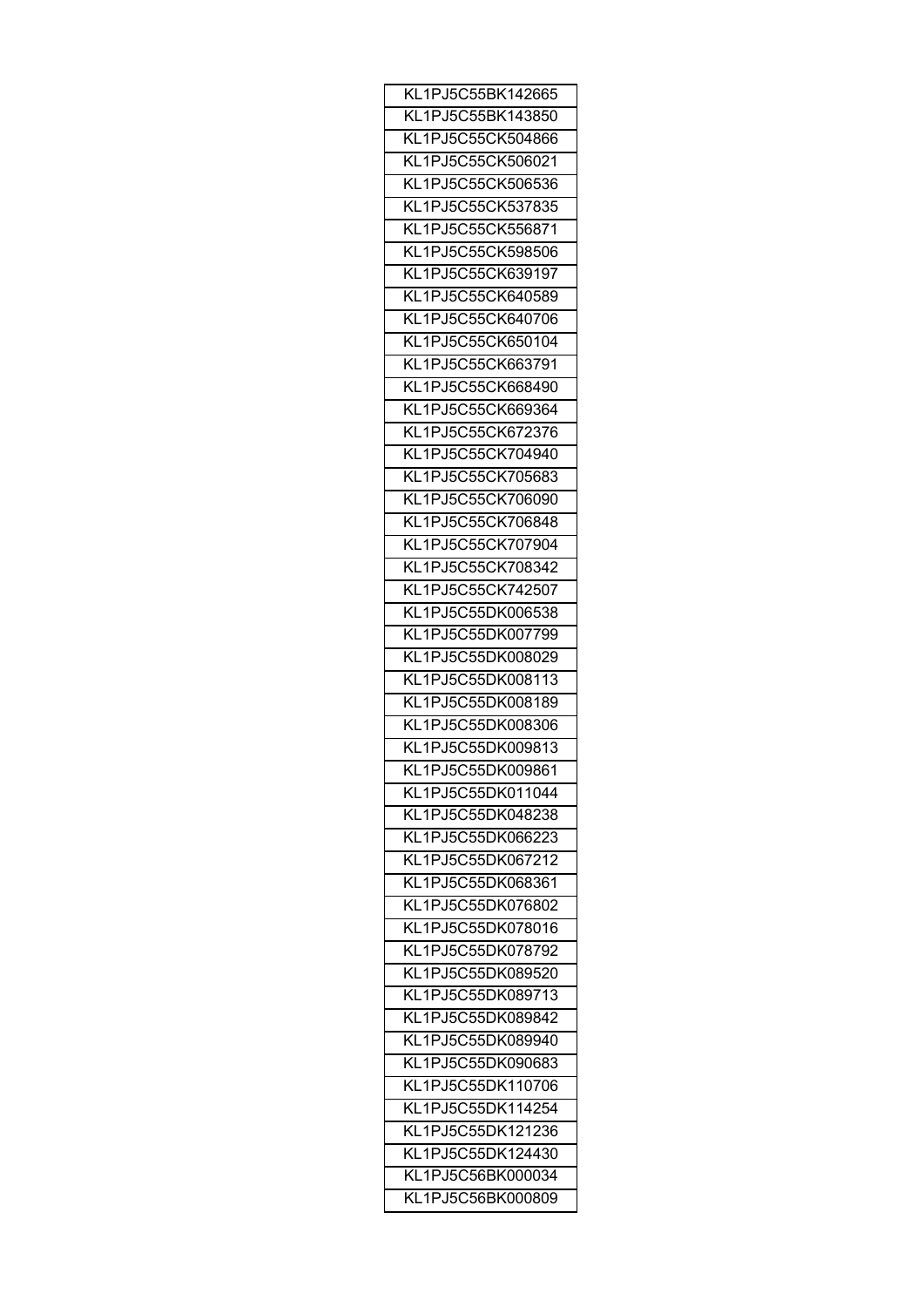| KL1PJ5C55BK142665 |
|-------------------|
| KL1PJ5C55BK143850 |
| KL1PJ5C55CK504866 |
| KL1PJ5C55CK506021 |
| KL1PJ5C55CK506536 |
| KL1PJ5C55CK537835 |
| KL1PJ5C55CK556871 |
| KL1PJ5C55CK598506 |
| KL1PJ5C55CK639197 |
| KL1PJ5C55CK640589 |
| KL1PJ5C55CK640706 |
| KL1PJ5C55CK650104 |
|                   |
| KL1PJ5C55CK663791 |
| KL1PJ5C55CK668490 |
| KL1PJ5C55CK669364 |
| KL1PJ5C55CK672376 |
| KL1PJ5C55CK704940 |
| KL1PJ5C55CK705683 |
| KL1PJ5C55CK706090 |
| KL1PJ5C55CK706848 |
| KL1PJ5C55CK707904 |
| KL1PJ5C55CK708342 |
| KL1PJ5C55CK742507 |
| KL1PJ5C55DK006538 |
| KL1PJ5C55DK007799 |
| KL1PJ5C55DK008029 |
| KL1PJ5C55DK008113 |
| KL1PJ5C55DK008189 |
| KL1PJ5C55DK008306 |
| KL1PJ5C55DK009813 |
| KL1PJ5C55DK009861 |
| KL1PJ5C55DK011044 |
|                   |
| KL1PJ5C55DK048238 |
| KL1PJ5C55DK066223 |
| KL1PJ5C55DK067212 |
| KL1PJ5C55DK068361 |
| KL1PJ5C55DK076802 |
| KL1PJ5C55DK078016 |
| KL1PJ5C55DK078792 |
| KL1PJ5C55DK089520 |
| KL1PJ5C55DK089713 |
| KL1PJ5C55DK089842 |
| KL1PJ5C55DK089940 |
| KL1PJ5C55DK090683 |
| KL1PJ5C55DK110706 |
| KL1PJ5C55DK114254 |
| KL1PJ5C55DK121236 |
| KL1PJ5C55DK124430 |
| KL1PJ5C56BK000034 |
| KL1PJ5C56BK000809 |
|                   |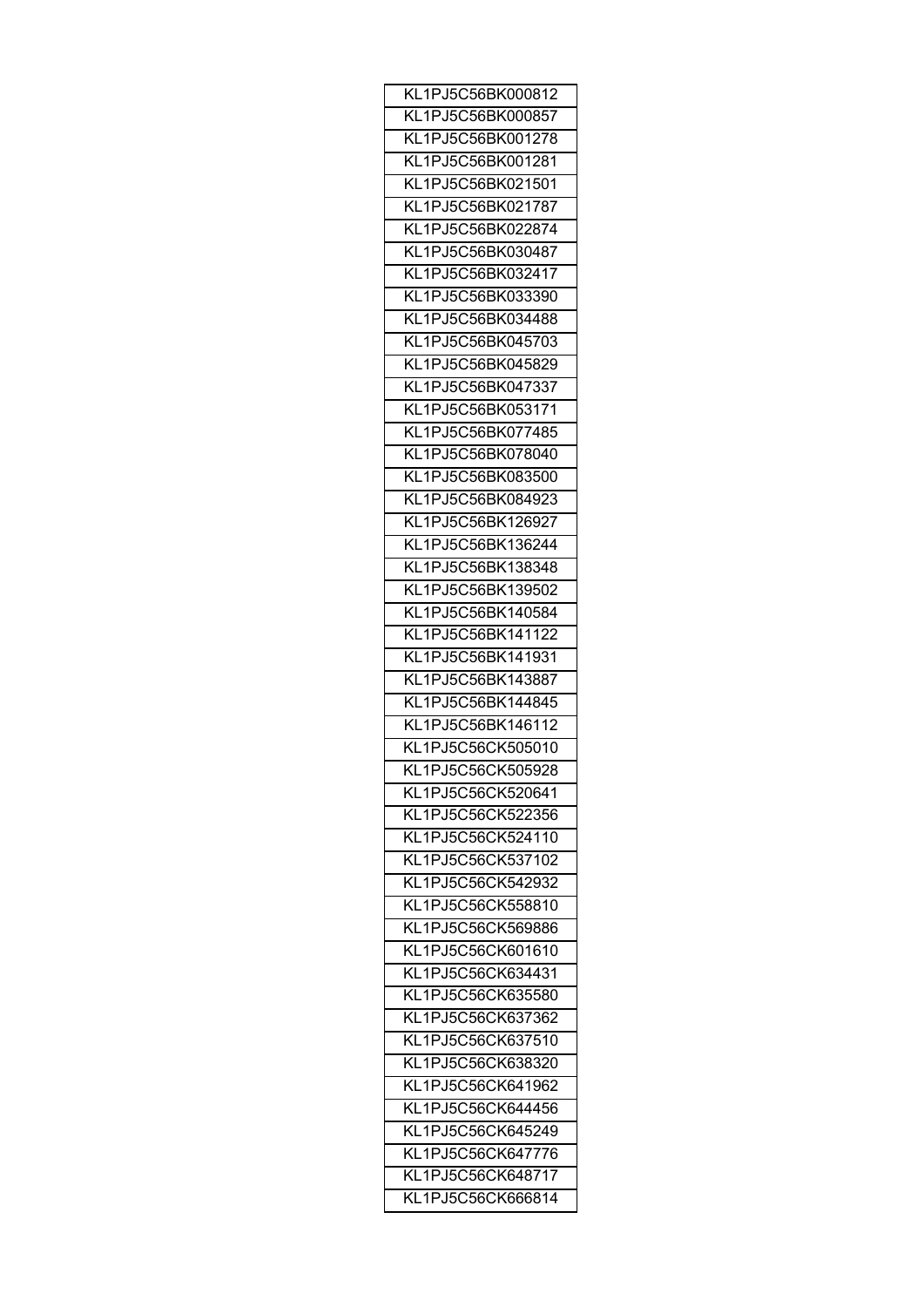| KL1PJ5C56BK000812 |
|-------------------|
| KL1PJ5C56BK000857 |
| KL1PJ5C56BK001278 |
| KL1PJ5C56BK001281 |
| KL1PJ5C56BK021501 |
| KL1PJ5C56BK021787 |
| KL1PJ5C56BK022874 |
| KL1PJ5C56BK030487 |
| KL1PJ5C56BK032417 |
| KL1PJ5C56BK033390 |
| KL1PJ5C56BK034488 |
| KL1PJ5C56BK045703 |
| KL1PJ5C56BK045829 |
| KL1PJ5C56BK047337 |
| KL1PJ5C56BK053171 |
| KL1PJ5C56BK077485 |
| KL1PJ5C56BK078040 |
|                   |
| KL1PJ5C56BK083500 |
| KL1PJ5C56BK084923 |
| KL1PJ5C56BK126927 |
| KL1PJ5C56BK136244 |
| KL1PJ5C56BK138348 |
| KL1PJ5C56BK139502 |
| KL1PJ5C56BK140584 |
| KL1PJ5C56BK141122 |
| KL1PJ5C56BK141931 |
| KL1PJ5C56BK143887 |
| KL1PJ5C56BK144845 |
| KL1PJ5C56BK146112 |
| KL1PJ5C56CK505010 |
| KL1PJ5C56CK505928 |
| KL1PJ5C56CK520641 |
| KL1PJ5C56CK522356 |
| KL1PJ5C56CK524110 |
| KL1PJ5C56CK537102 |
| KL1PJ5C56CK542932 |
| KL1PJ5C56CK558810 |
| KL1PJ5C56CK569886 |
| KL1PJ5C56CK601610 |
| KL1PJ5C56CK634431 |
| KL1PJ5C56CK635580 |
| KL1PJ5C56CK637362 |
| KL1PJ5C56CK637510 |
| KL1PJ5C56CK638320 |
| KL1PJ5C56CK641962 |
|                   |
| KL1PJ5C56CK644456 |
| KL1PJ5C56CK645249 |
| KL1PJ5C56CK647776 |
| KL1PJ5C56CK648717 |
| KL1PJ5C56CK666814 |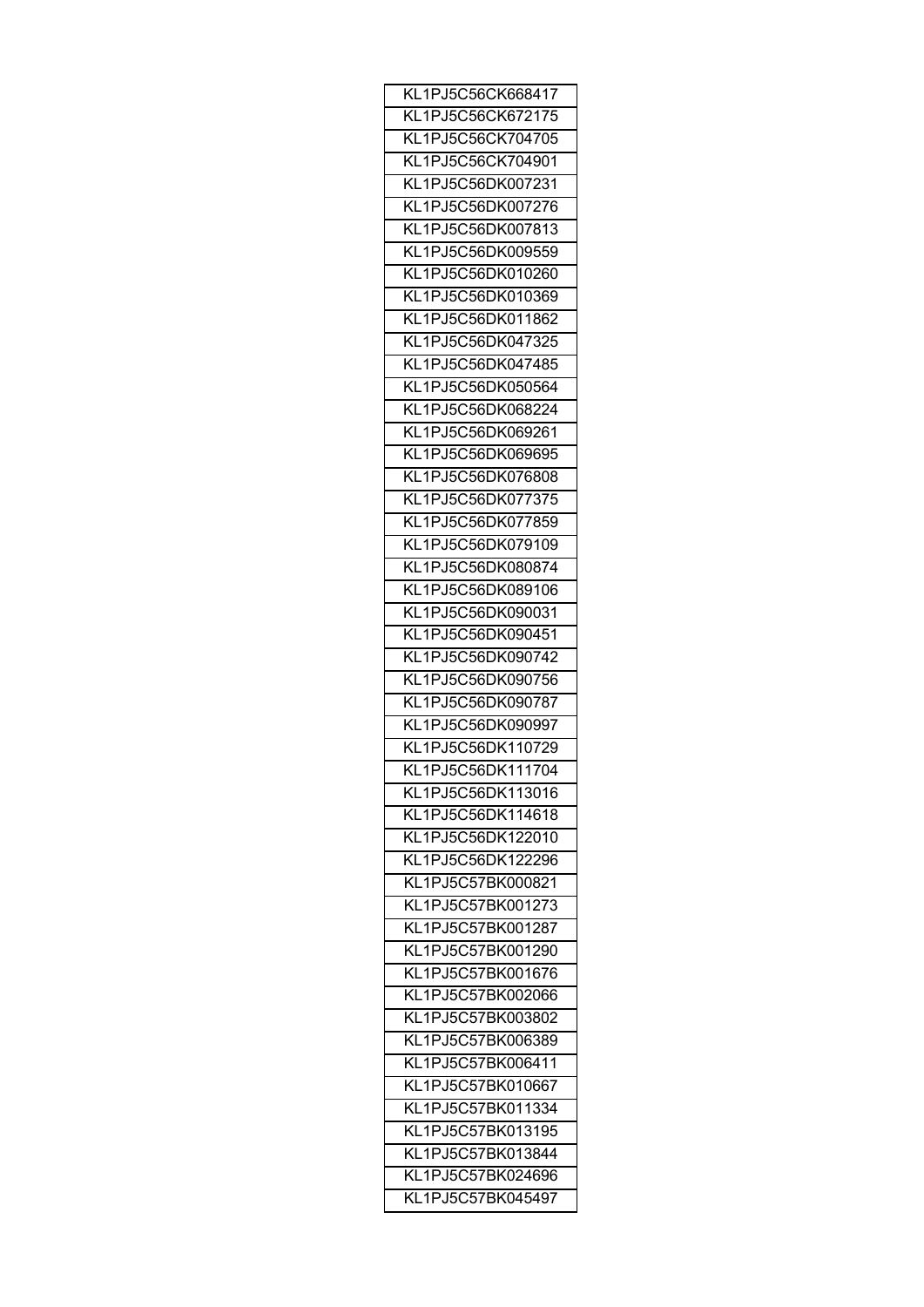| KL1PJ5C56CK668417 |
|-------------------|
| KL1PJ5C56CK672175 |
| KL1PJ5C56CK704705 |
| KL1PJ5C56CK704901 |
| KL1PJ5C56DK007231 |
| KL1PJ5C56DK007276 |
| KL1PJ5C56DK007813 |
| KL1PJ5C56DK009559 |
| KL1PJ5C56DK010260 |
| KL1PJ5C56DK010369 |
| KL1PJ5C56DK011862 |
| KL1PJ5C56DK047325 |
| KL1PJ5C56DK047485 |
|                   |
| KL1PJ5C56DK050564 |
| KL1PJ5C56DK068224 |
| KL1PJ5C56DK069261 |
| KL1PJ5C56DK069695 |
| KL1PJ5C56DK076808 |
| KL1PJ5C56DK077375 |
| KL1PJ5C56DK077859 |
| KL1PJ5C56DK079109 |
| KL1PJ5C56DK080874 |
| KL1PJ5C56DK089106 |
| KL1PJ5C56DK090031 |
| KL1PJ5C56DK090451 |
| KL1PJ5C56DK090742 |
| KL1PJ5C56DK090756 |
| KL1PJ5C56DK090787 |
| KL1PJ5C56DK090997 |
| KL1PJ5C56DK110729 |
| KL1PJ5C56DK111704 |
| KL1PJ5C56DK113016 |
| KL1PJ5C56DK114618 |
| KL1PJ5C56DK122010 |
| KL1PJ5C56DK122296 |
| KL1PJ5C57BK000821 |
| KL1PJ5C57BK001273 |
| KL1PJ5C57BK001287 |
| KL1PJ5C57BK001290 |
|                   |
| KL1PJ5C57BK001676 |
| KL1PJ5C57BK002066 |
| KL1PJ5C57BK003802 |
| KL1PJ5C57BK006389 |
| KL1PJ5C57BK006411 |
| KL1PJ5C57BK010667 |
| KL1PJ5C57BK011334 |
| KL1PJ5C57BK013195 |
| KL1PJ5C57BK013844 |
| KL1PJ5C57BK024696 |
| KL1PJ5C57BK045497 |
|                   |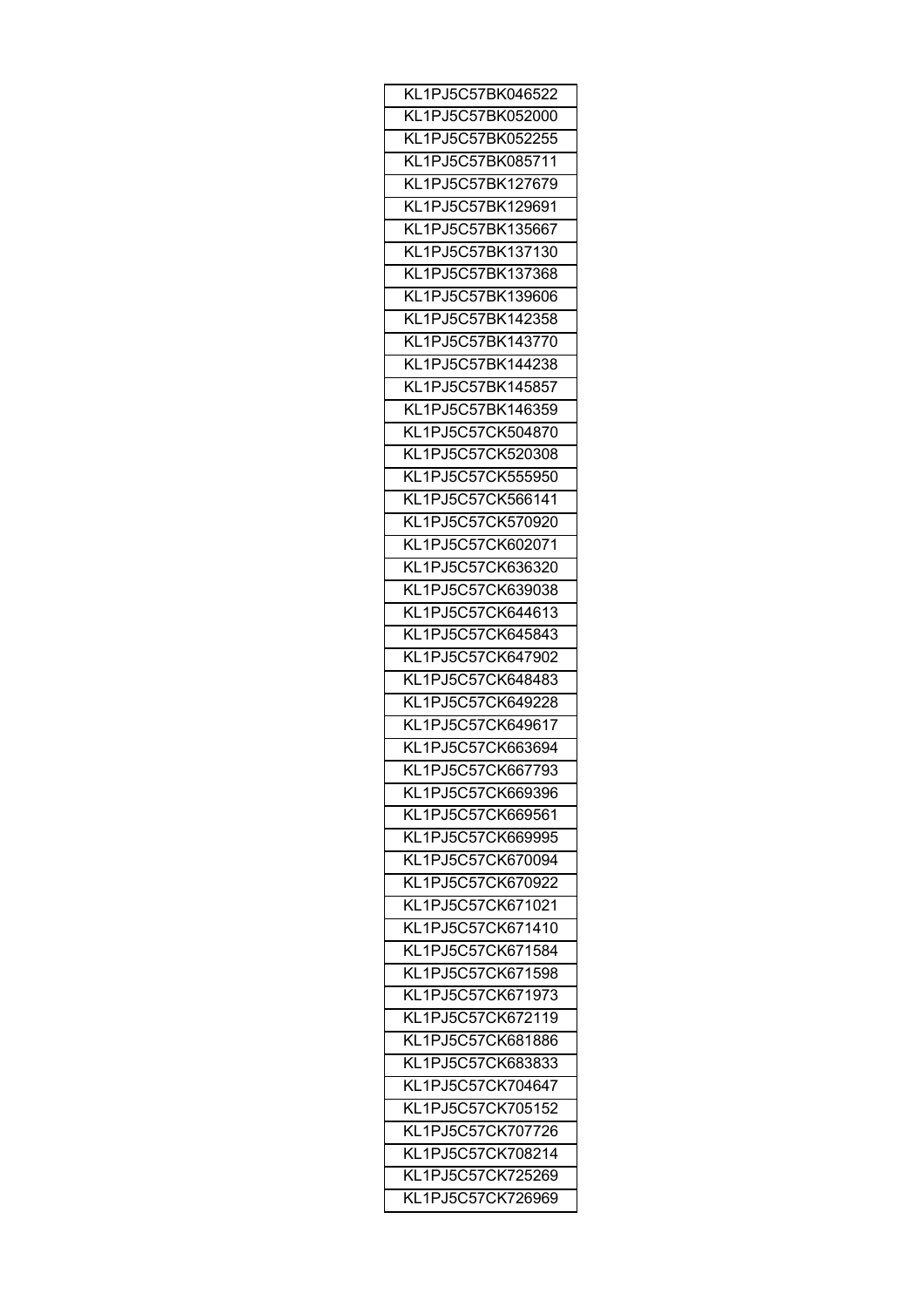| KL1PJ5C57BK046522 |
|-------------------|
| KL1PJ5C57BK052000 |
| KL1PJ5C57BK052255 |
| KL1PJ5C57BK085711 |
| KL1PJ5C57BK127679 |
| KL1PJ5C57BK129691 |
| KL1PJ5C57BK135667 |
| KL1PJ5C57BK137130 |
| KL1PJ5C57BK137368 |
| KL1PJ5C57BK139606 |
| KL1PJ5C57BK142358 |
| KL1PJ5C57BK143770 |
| KL1PJ5C57BK144238 |
| KL1PJ5C57BK145857 |
| KL1PJ5C57BK146359 |
| KL1PJ5C57CK504870 |
| KL1PJ5C57CK520308 |
|                   |
| KL1PJ5C57CK555950 |
| KL1PJ5C57CK566141 |
| KL1PJ5C57CK570920 |
| KL1PJ5C57CK602071 |
| KL1PJ5C57CK636320 |
| KL1PJ5C57CK639038 |
| KL1PJ5C57CK644613 |
| KL1PJ5C57CK645843 |
| KL1PJ5C57CK647902 |
| KL1PJ5C57CK648483 |
| KL1PJ5C57CK649228 |
| KL1PJ5C57CK649617 |
| KL1PJ5C57CK663694 |
| KL1PJ5C57CK667793 |
| KL1PJ5C57CK669396 |
| KL1PJ5C57CK669561 |
| KL1PJ5C57CK669995 |
| KL1PJ5C57CK670094 |
| KL1PJ5C57CK670922 |
| KL1PJ5C57CK671021 |
| KL1PJ5C57CK671410 |
| KL1PJ5C57CK671584 |
| KL1PJ5C57CK671598 |
| KL1PJ5C57CK671973 |
| KL1PJ5C57CK672119 |
| KL1PJ5C57CK681886 |
| KL1PJ5C57CK683833 |
| KL1PJ5C57CK704647 |
| KL1PJ5C57CK705152 |
|                   |
| KL1PJ5C57CK707726 |
| KL1PJ5C57CK708214 |
| KL1PJ5C57CK725269 |
| KL1PJ5C57CK726969 |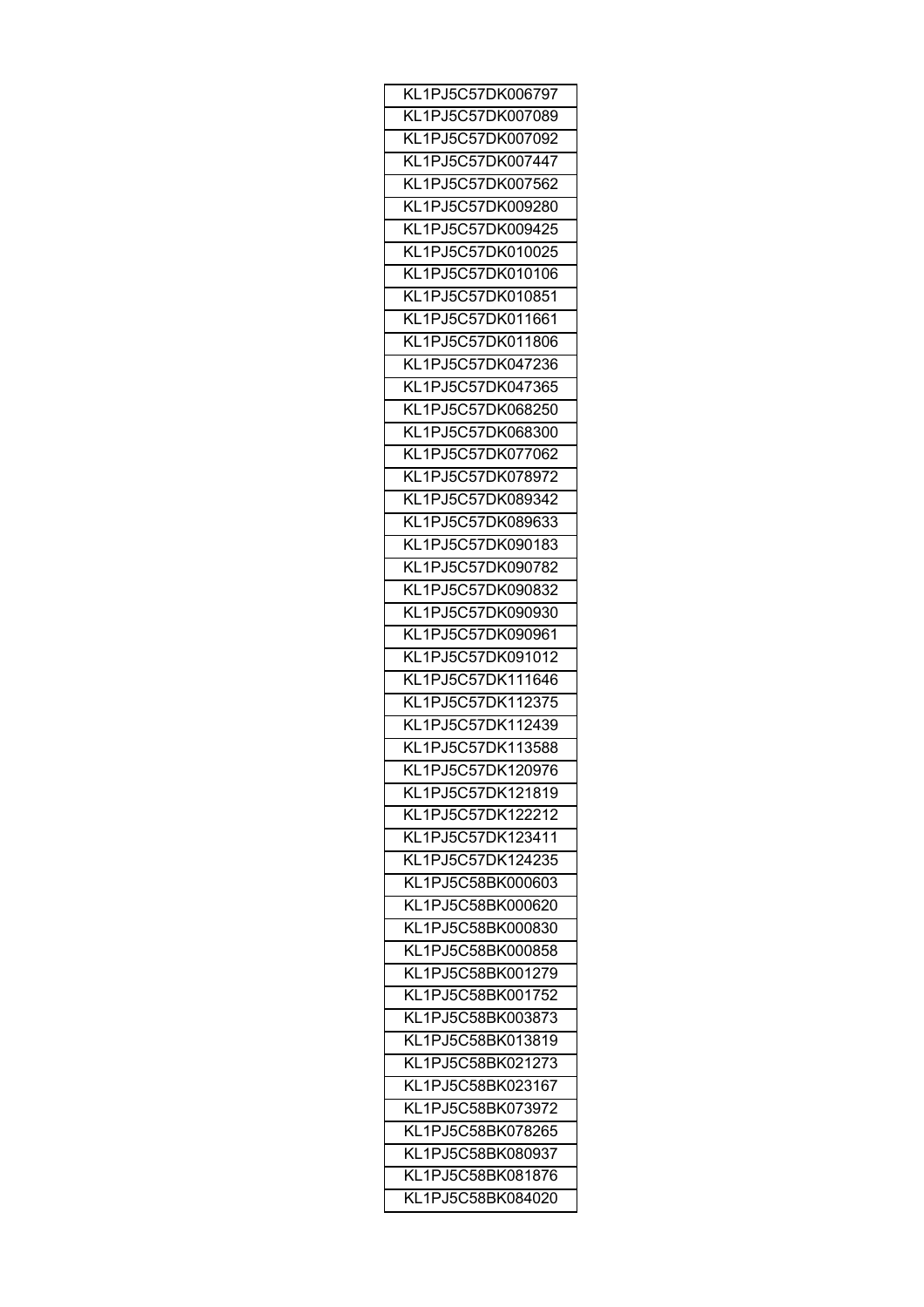| KL1PJ5C57DK006797 |
|-------------------|
| KL1PJ5C57DK007089 |
| KL1PJ5C57DK007092 |
| KL1PJ5C57DK007447 |
| KL1PJ5C57DK007562 |
| KL1PJ5C57DK009280 |
| KL1PJ5C57DK009425 |
| KL1PJ5C57DK010025 |
| KL1PJ5C57DK010106 |
| KL1PJ5C57DK010851 |
| KL1PJ5C57DK011661 |
| KL1PJ5C57DK011806 |
|                   |
| KL1PJ5C57DK047236 |
| KL1PJ5C57DK047365 |
| KL1PJ5C57DK068250 |
| KL1PJ5C57DK068300 |
| KL1PJ5C57DK077062 |
| KL1PJ5C57DK078972 |
| KL1PJ5C57DK089342 |
| KL1PJ5C57DK089633 |
| KL1PJ5C57DK090183 |
| KL1PJ5C57DK090782 |
| KL1PJ5C57DK090832 |
| KL1PJ5C57DK090930 |
| KL1PJ5C57DK090961 |
| KL1PJ5C57DK091012 |
| KL1PJ5C57DK111646 |
| KL1PJ5C57DK112375 |
| KL1PJ5C57DK112439 |
| KL1PJ5C57DK113588 |
| KL1PJ5C57DK120976 |
| KL1PJ5C57DK121819 |
|                   |
| KL1PJ5C57DK122212 |
| KL1PJ5C57DK123411 |
| KL1PJ5C57DK124235 |
| KL1PJ5C58BK000603 |
| KL1PJ5C58BK000620 |
| KL1PJ5C58BK000830 |
| KL1PJ5C58BK000858 |
| KL1PJ5C58BK001279 |
| KL1PJ5C58BK001752 |
| KL1PJ5C58BK003873 |
| KL1PJ5C58BK013819 |
| KL1PJ5C58BK021273 |
| KL1PJ5C58BK023167 |
| KL1PJ5C58BK073972 |
| KL1PJ5C58BK078265 |
| KL1PJ5C58BK080937 |
| KL1PJ5C58BK081876 |
| KL1PJ5C58BK084020 |
|                   |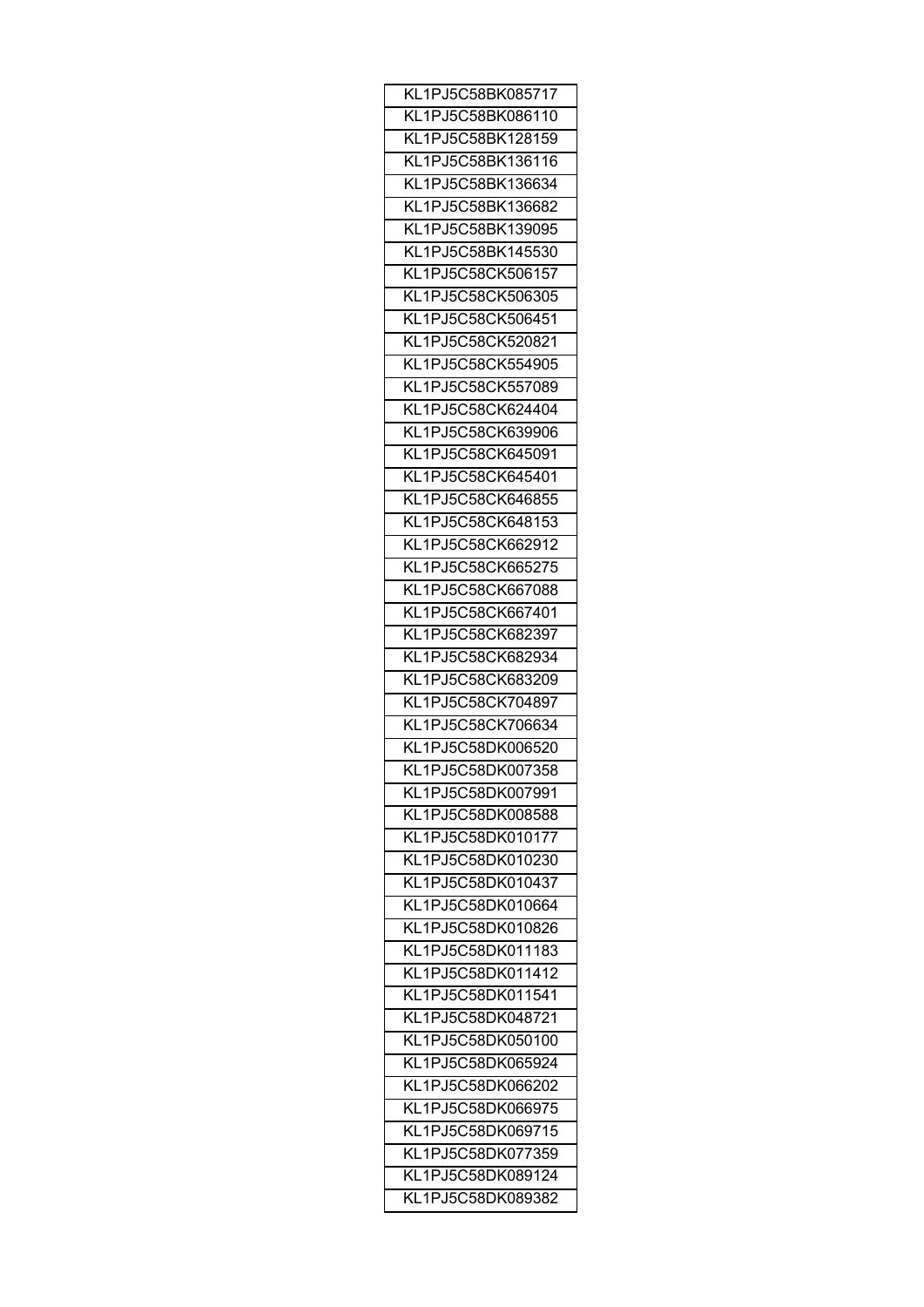| KL1PJ5C58BK085717                      |
|----------------------------------------|
| KL1PJ5C58BK086110                      |
| KL1PJ5C58BK128159                      |
| KL1PJ5C58BK136116                      |
| KL1PJ5C58BK136634                      |
| KL1PJ5C58BK136682                      |
| KL1PJ5C58BK139095                      |
| KL1PJ5C58BK145530                      |
| KL1PJ5C58CK506157                      |
| KL1PJ5C58CK506305                      |
| KL1PJ5C58CK506451                      |
| KL1PJ5C58CK520821                      |
| KL1PJ5C58CK554905                      |
| KL1PJ5C58CK557089                      |
| KL1PJ5C58CK624404                      |
| KL1PJ5C58CK639906                      |
| KL1PJ5C58CK645091                      |
| KL1PJ5C58CK645401                      |
| KL1PJ5C58CK646855                      |
| KL1PJ5C58CK648153                      |
| KL1PJ5C58CK662912                      |
| KL1PJ5C58CK665275                      |
|                                        |
| KL1PJ5C58CK667088<br>KL1PJ5C58CK667401 |
|                                        |
| KL1PJ5C58CK682397                      |
| KL1PJ5C58CK682934                      |
| KL1PJ5C58CK683209                      |
| KL1PJ5C58CK704897                      |
| KL1PJ5C58CK706634                      |
| KL1PJ5C58DK006520                      |
| KL1PJ5C58DK007358                      |
| KL1PJ5C58DK007991                      |
| KL1PJ5C58DK008588                      |
| KL1PJ5C58DK010177                      |
| KL1PJ5C58DK010230                      |
| KL1PJ5C58DK010437                      |
| KL1PJ5C58DK010664                      |
| KL1PJ5C58DK010826                      |
| KL1PJ5C58DK011183                      |
| KL1PJ5C58DK011412                      |
| KL1PJ5C58DK011541                      |
| KL1PJ5C58DK048721                      |
| KL1PJ5C58DK050100                      |
| KL1PJ5C58DK065924                      |
| KL1PJ5C58DK066202                      |
| KL1PJ5C58DK066975                      |
| KL1PJ5C58DK069715                      |
| KL1PJ5C58DK077359                      |
| KL1PJ5C58DK089124                      |
| KL1PJ5C58DK089382                      |
|                                        |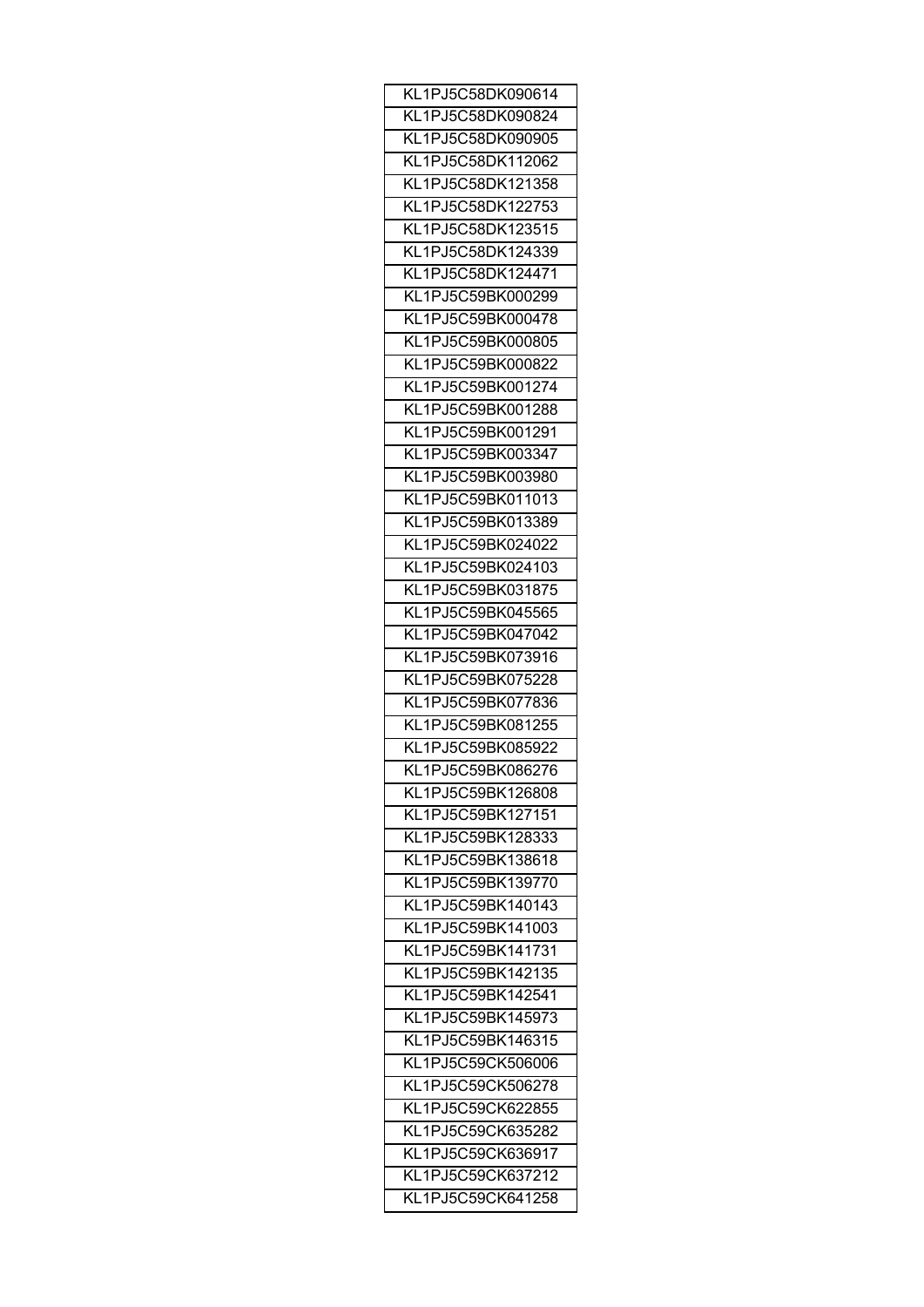| KL1PJ5C58DK090614 |
|-------------------|
| KL1PJ5C58DK090824 |
| KL1PJ5C58DK090905 |
| KL1PJ5C58DK112062 |
| KL1PJ5C58DK121358 |
| KL1PJ5C58DK122753 |
| KL1PJ5C58DK123515 |
| KL1PJ5C58DK124339 |
| KL1PJ5C58DK124471 |
| KL1PJ5C59BK000299 |
| KL1PJ5C59BK000478 |
| KL1PJ5C59BK000805 |
|                   |
| KL1PJ5C59BK000822 |
| KL1PJ5C59BK001274 |
| KL1PJ5C59BK001288 |
| KL1PJ5C59BK001291 |
| KL1PJ5C59BK003347 |
| KL1PJ5C59BK003980 |
| KL1PJ5C59BK011013 |
| KL1PJ5C59BK013389 |
| KL1PJ5C59BK024022 |
| KL1PJ5C59BK024103 |
| KL1PJ5C59BK031875 |
| KL1PJ5C59BK045565 |
| KL1PJ5C59BK047042 |
| KL1PJ5C59BK073916 |
| KL1PJ5C59BK075228 |
| KL1PJ5C59BK077836 |
| KL1PJ5C59BK081255 |
| KL1PJ5C59BK085922 |
| KL1PJ5C59BK086276 |
| KL1PJ5C59BK126808 |
|                   |
| KL1PJ5C59BK127151 |
| KL1PJ5C59BK128333 |
| KL1PJ5C59BK138618 |
| KL1PJ5C59BK139770 |
| KL1PJ5C59BK140143 |
| KL1PJ5C59BK141003 |
| KL1PJ5C59BK141731 |
| KL1PJ5C59BK142135 |
| KL1PJ5C59BK142541 |
| KL1PJ5C59BK145973 |
| KL1PJ5C59BK146315 |
| KL1PJ5C59CK506006 |
| KL1PJ5C59CK506278 |
| KL1PJ5C59CK622855 |
| KL1PJ5C59CK635282 |
| KL1PJ5C59CK636917 |
| KL1PJ5C59CK637212 |
| KL1PJ5C59CK641258 |
|                   |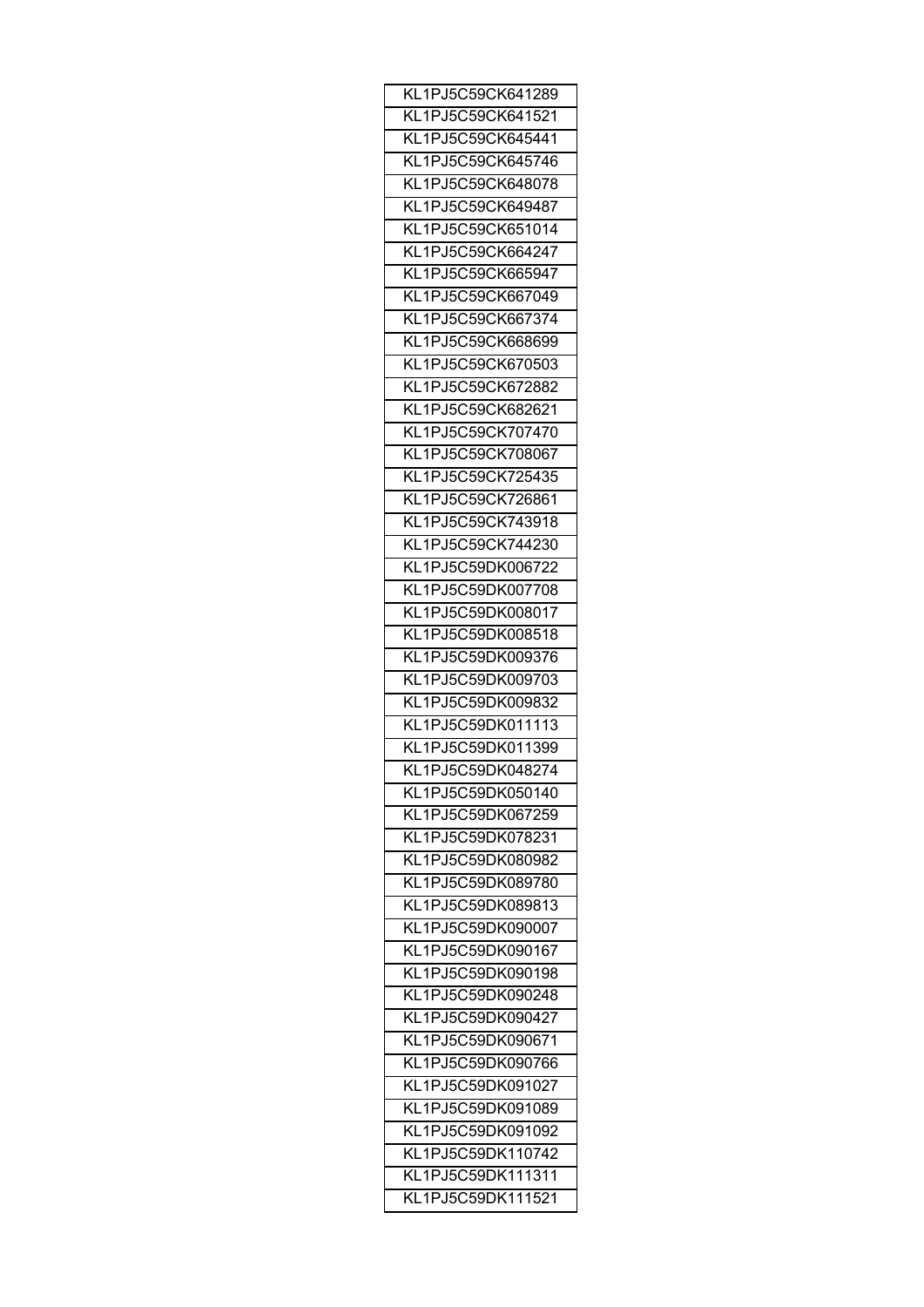| KL1PJ5C59CK641289 |
|-------------------|
| KL1PJ5C59CK641521 |
| KL1PJ5C59CK645441 |
| KL1PJ5C59CK645746 |
| KL1PJ5C59CK648078 |
| KL1PJ5C59CK649487 |
| KL1PJ5C59CK651014 |
| KL1PJ5C59CK664247 |
| KL1PJ5C59CK665947 |
| KL1PJ5C59CK667049 |
| KL1PJ5C59CK667374 |
| KL1PJ5C59CK668699 |
| KL1PJ5C59CK670503 |
| KL1PJ5C59CK672882 |
|                   |
| KL1PJ5C59CK682621 |
| KL1PJ5C59CK707470 |
| KL1PJ5C59CK708067 |
| KL1PJ5C59CK725435 |
| KL1PJ5C59CK726861 |
| KL1PJ5C59CK743918 |
| KL1PJ5C59CK744230 |
| KL1PJ5C59DK006722 |
| KL1PJ5C59DK007708 |
| KL1PJ5C59DK008017 |
| KL1PJ5C59DK008518 |
| KL1PJ5C59DK009376 |
| KL1PJ5C59DK009703 |
| KL1PJ5C59DK009832 |
| KL1PJ5C59DK011113 |
| KL1PJ5C59DK011399 |
| KL1PJ5C59DK048274 |
| KL1PJ5C59DK050140 |
| KL1PJ5C59DK067259 |
| KL1PJ5C59DK078231 |
| KL1PJ5C59DK080982 |
| KL1PJ5C59DK089780 |
| KL1PJ5C59DK089813 |
| KL1PJ5C59DK090007 |
| KL1PJ5C59DK090167 |
|                   |
| KL1PJ5C59DK090198 |
| KL1PJ5C59DK090248 |
| KL1PJ5C59DK090427 |
| KL1PJ5C59DK090671 |
| KL1PJ5C59DK090766 |
| KL1PJ5C59DK091027 |
| KL1PJ5C59DK091089 |
| KL1PJ5C59DK091092 |
| KL1PJ5C59DK110742 |
| KL1PJ5C59DK111311 |
| KL1PJ5C59DK111521 |
|                   |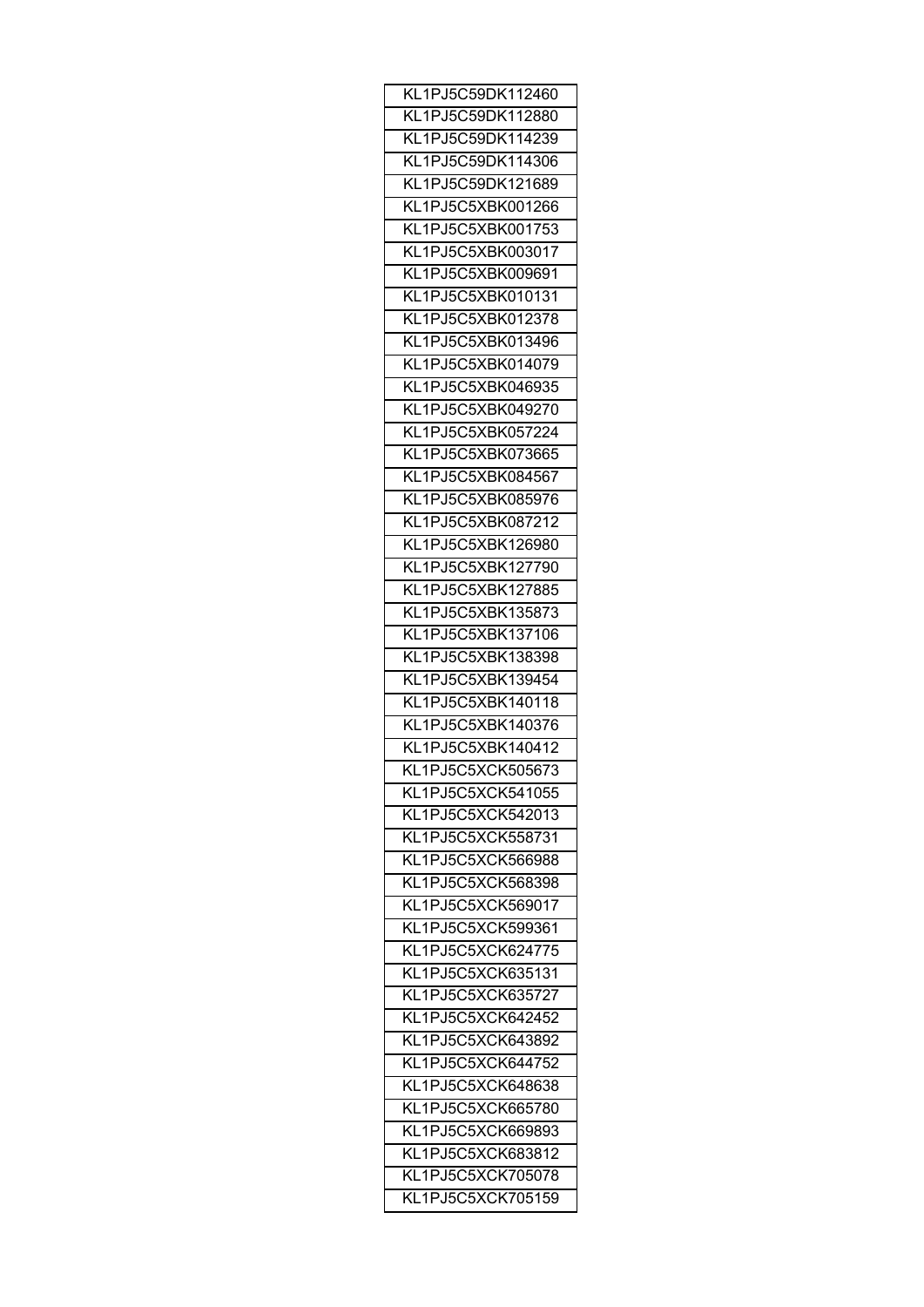| KL1PJ5C59DK112460                      |
|----------------------------------------|
| KL1PJ5C59DK112880                      |
| KL1PJ5C59DK114239                      |
| KL1PJ5C59DK114306                      |
| KL1PJ5C59DK121689                      |
| KL1PJ5C5XBK001266                      |
| KL1PJ5C5XBK001753                      |
| KL1PJ5C5XBK003017                      |
| KL1PJ5C5XBK009691                      |
| KL1PJ5C5XBK010131                      |
| KL1PJ5C5XBK012378                      |
| KL1PJ5C5XBK013496                      |
| KL1PJ5C5XBK014079                      |
| KL1PJ5C5XBK046935                      |
| KL1PJ5C5XBK049270                      |
| KL1PJ5C5XBK057224                      |
| KL1PJ5C5XBK073665                      |
| KL1PJ5C5XBK084567                      |
| KL1PJ5C5XBK085976                      |
| KL1PJ5C5XBK087212                      |
| KL1PJ5C5XBK126980                      |
| KL1PJ5C5XBK127790                      |
| KL1PJ5C5XBK127885                      |
| KL1PJ5C5XBK135873                      |
| KL1PJ5C5XBK137106                      |
| KL1PJ5C5XBK138398                      |
| KL1PJ5C5XBK139454                      |
| KL1PJ5C5XBK140118                      |
| KL1PJ5C5XBK140376                      |
| KL1PJ5C5XBK140412                      |
| KL1PJ5C5XCK505673                      |
| KL1PJ5C5XCK541055                      |
|                                        |
| KL1PJ5C5XCK542013<br>KL1PJ5C5XCK558731 |
|                                        |
| KL1PJ5C5XCK566988                      |
| KL1PJ5C5XCK568398                      |
| KL1PJ5C5XCK569017                      |
| KL1PJ5C5XCK599361                      |
| KL1PJ5C5XCK624775                      |
| KL1PJ5C5XCK635131                      |
| KL1PJ5C5XCK635727                      |
| KL1PJ5C5XCK642452                      |
| KL1PJ5C5XCK643892                      |
| KL1PJ5C5XCK644752                      |
| KL1PJ5C5XCK648638                      |
| KL1PJ5C5XCK665780                      |
| KL1PJ5C5XCK669893                      |
| KL1PJ5C5XCK683812                      |
| KL1PJ5C5XCK705078                      |
| KL1PJ5C5XCK705159                      |
|                                        |